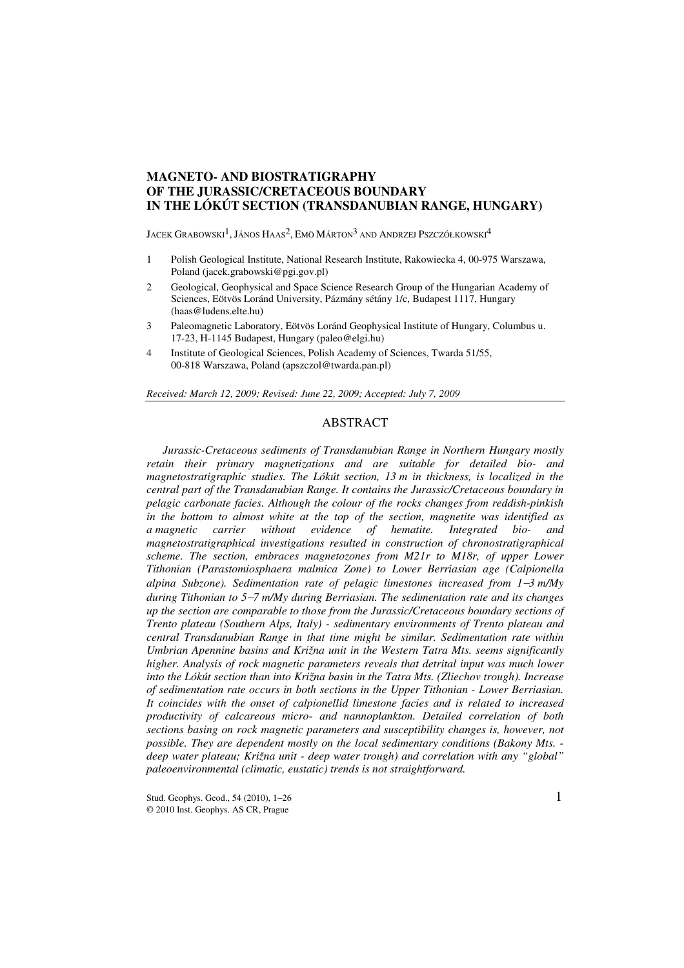# **MAGNETO- AND BIOSTRATIGRAPHY OF THE JURASSIC/CRETACEOUS BOUNDARY IN THE LÓKÚT SECTION (TRANSDANUBIAN RANGE, HUNGARY)**

JACEK GRABOWSKI<sup>1</sup>, JÁNOS HAAS<sup>2</sup>, EMÖ MÁRTON<sup>3</sup> AND ANDRZEJ PSZCZÓŁKOWSKI<sup>4</sup>

- 1 Polish Geological Institute, National Research Institute, Rakowiecka 4, 00-975 Warszawa, Poland (jacek.grabowski@pgi.gov.pl)
- 2 Geological, Geophysical and Space Science Research Group of the Hungarian Academy of Sciences, Eötvös Loránd University, Pázmány sétány 1/c, Budapest 1117, Hungary (haas@ludens.elte.hu)
- 3 Paleomagnetic Laboratory, Eötvös Loránd Geophysical Institute of Hungary, Columbus u. 17-23, H-1145 Budapest, Hungary (paleo@elgi.hu)
- 4 Institute of Geological Sciences, Polish Academy of Sciences, Twarda 51/55, 00-818 Warszawa, Poland (apszczol@twarda.pan.pl)

*Received: March 12, 2009; Revised: June 22, 2009; Accepted: July 7, 2009* 

# ABSTRACT

*Jurassic-Cretaceous sediments of Transdanubian Range in Northern Hungary mostly retain their primary magnetizations and are suitable for detailed bio- and magnetostratigraphic studies. The Lókút section, 13 m in thickness, is localized in the central part of the Transdanubian Range. It contains the Jurassic/Cretaceous boundary in pelagic carbonate facies. Although the colour of the rocks changes from reddish-pinkish in the bottom to almost white at the top of the section, magnetite was identified as a magnetic carrier without evidence of hematite. Integrated bio- and magnetostratigraphical investigations resulted in construction of chronostratigraphical scheme. The section, embraces magnetozones from M21r to M18r, of upper Lower Tithonian (Parastomiosphaera malmica Zone) to Lower Berriasian age (Calpionella alpina Subzone). Sedimentation rate of pelagic limestones increased from 1*−*3 m/My during Tithonian to 5*−*7 m/My during Berriasian. The sedimentation rate and its changes up the section are comparable to those from the Jurassic/Cretaceous boundary sections of Trento plateau (Southern Alps, Italy) - sedimentary environments of Trento plateau and central Transdanubian Range in that time might be similar. Sedimentation rate within Umbrian Apennine basins and Križna unit in the Western Tatra Mts. seems significantly higher. Analysis of rock magnetic parameters reveals that detrital input was much lower into the Lókút section than into Križna basin in the Tatra Mts. (Zliechov trough). Increase of sedimentation rate occurs in both sections in the Upper Tithonian - Lower Berriasian. It coincides with the onset of calpionellid limestone facies and is related to increased productivity of calcareous micro- and nannoplankton. Detailed correlation of both sections basing on rock magnetic parameters and susceptibility changes is, however, not possible. They are dependent mostly on the local sedimentary conditions (Bakony Mts. deep water plateau; Križna unit - deep water trough) and correlation with any "global" paleoenvironmental (climatic, eustatic) trends is not straightforward.*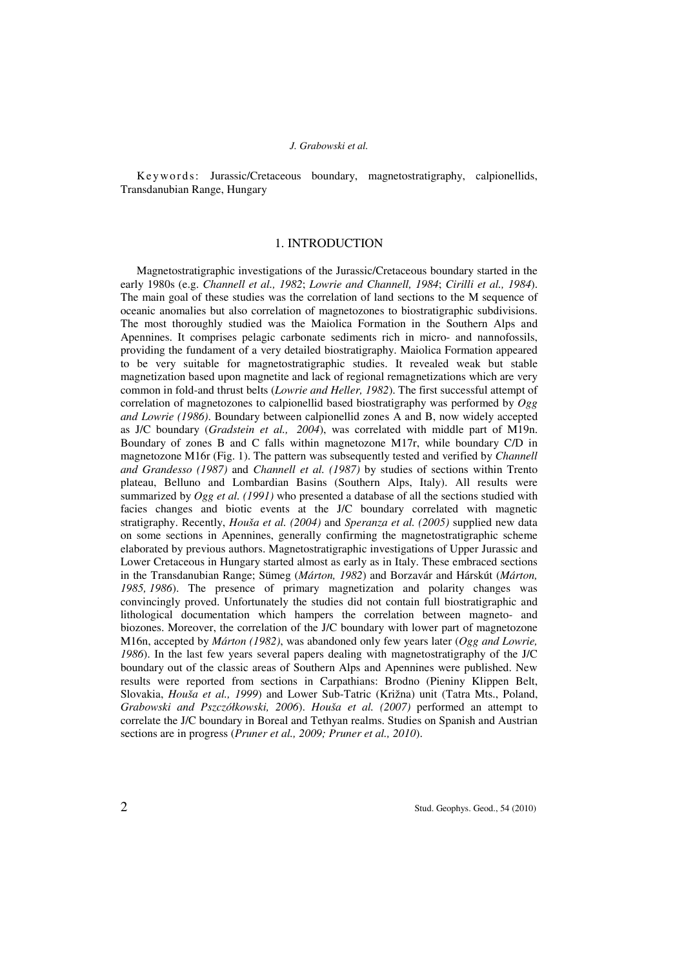Ke y wo rd s: Jurassic/Cretaceous boundary, magnetostratigraphy, calpionellids, Transdanubian Range, Hungary

## 1. INTRODUCTION

Magnetostratigraphic investigations of the Jurassic/Cretaceous boundary started in the early 1980s (e.g. *Channell et al., 1982*; *Lowrie and Channell, 1984*; *Cirilli et al., 1984*). The main goal of these studies was the correlation of land sections to the M sequence of oceanic anomalies but also correlation of magnetozones to biostratigraphic subdivisions. The most thoroughly studied was the Maiolica Formation in the Southern Alps and Apennines. It comprises pelagic carbonate sediments rich in micro- and nannofossils, providing the fundament of a very detailed biostratigraphy. Maiolica Formation appeared to be very suitable for magnetostratigraphic studies. It revealed weak but stable magnetization based upon magnetite and lack of regional remagnetizations which are very common in fold-and thrust belts (*Lowrie and Heller, 1982*). The first successful attempt of correlation of magnetozones to calpionellid based biostratigraphy was performed by *Ogg and Lowrie (1986)*. Boundary between calpionellid zones A and B, now widely accepted as J/C boundary (*Gradstein et al., 2004*), was correlated with middle part of M19n. Boundary of zones B and C falls within magnetozone M17r, while boundary C/D in magnetozone M16r (Fig. 1). The pattern was subsequently tested and verified by *Channell and Grandesso (1987)* and *Channell et al. (1987)* by studies of sections within Trento plateau, Belluno and Lombardian Basins (Southern Alps, Italy). All results were summarized by *Ogg et al. (1991)* who presented a database of all the sections studied with facies changes and biotic events at the J/C boundary correlated with magnetic stratigraphy. Recently, *Houša et al. (2004)* and *Speranza et al. (2005)* supplied new data on some sections in Apennines, generally confirming the magnetostratigraphic scheme elaborated by previous authors. Magnetostratigraphic investigations of Upper Jurassic and Lower Cretaceous in Hungary started almost as early as in Italy. These embraced sections in the Transdanubian Range; Sümeg (*Márton, 1982*) and Borzavár and Hárskút (*Márton, 1985, 1986*). The presence of primary magnetization and polarity changes was convincingly proved. Unfortunately the studies did not contain full biostratigraphic and lithological documentation which hampers the correlation between magneto- and biozones. Moreover, the correlation of the J/C boundary with lower part of magnetozone M16n, accepted by *Márton (1982)*, was abandoned only few years later (*Ogg and Lowrie, 1986*). In the last few years several papers dealing with magnetostratigraphy of the J/C boundary out of the classic areas of Southern Alps and Apennines were published. New results were reported from sections in Carpathians: Brodno (Pieniny Klippen Belt, Slovakia, *Houša et al., 1999*) and Lower Sub-Tatric (Križna) unit (Tatra Mts., Poland, *Grabowski and Pszczółkowski, 2006*). *Houša et al. (2007)* performed an attempt to correlate the J/C boundary in Boreal and Tethyan realms. Studies on Spanish and Austrian sections are in progress (*Pruner et al., 2009; Pruner et al., 2010*).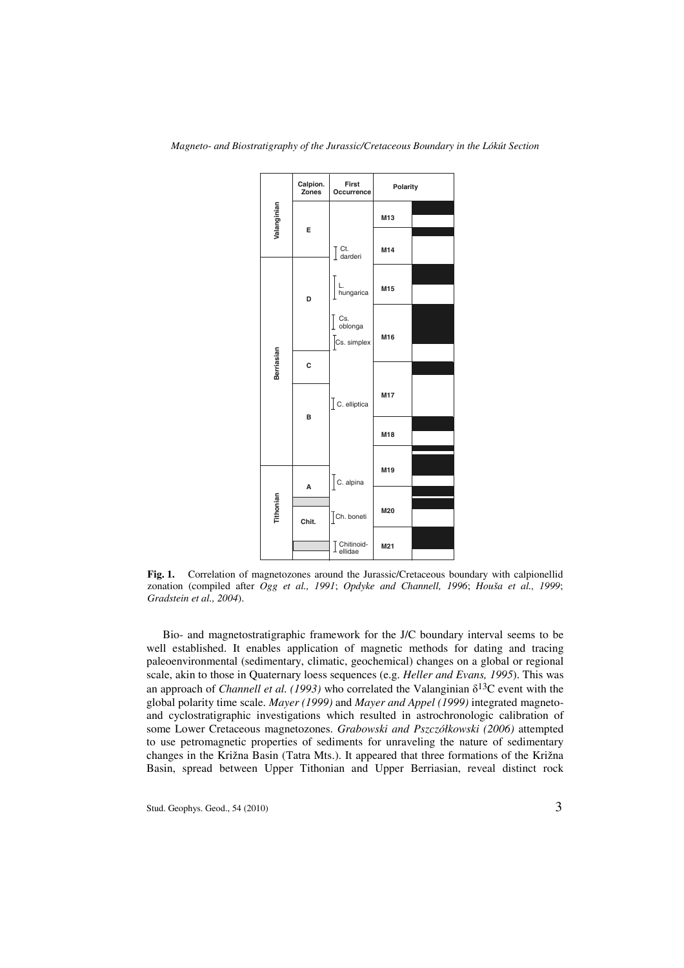

**Fig. 1.** Correlation of magnetozones around the Jurassic/Cretaceous boundary with calpionellid zonation (compiled after *Ogg et al., 1991*; *Opdyke and Channell, 1996*; *Houša et al., 1999*; *Gradstein et al., 2004*).

Bio- and magnetostratigraphic framework for the J/C boundary interval seems to be well established. It enables application of magnetic methods for dating and tracing paleoenvironmental (sedimentary, climatic, geochemical) changes on a global or regional scale, akin to those in Quaternary loess sequences (e.g. *Heller and Evans, 1995*). This was an approach of *Channell et al. (1993)* who correlated the Valanginian  $\delta^{13}$ C event with the global polarity time scale. *Mayer (1999)* and *Mayer and Appel (1999)* integrated magnetoand cyclostratigraphic investigations which resulted in astrochronologic calibration of some Lower Cretaceous magnetozones. *Grabowski and Pszczółkowski (2006)* attempted to use petromagnetic properties of sediments for unraveling the nature of sedimentary changes in the Križna Basin (Tatra Mts.). It appeared that three formations of the Križna Basin, spread between Upper Tithonian and Upper Berriasian, reveal distinct rock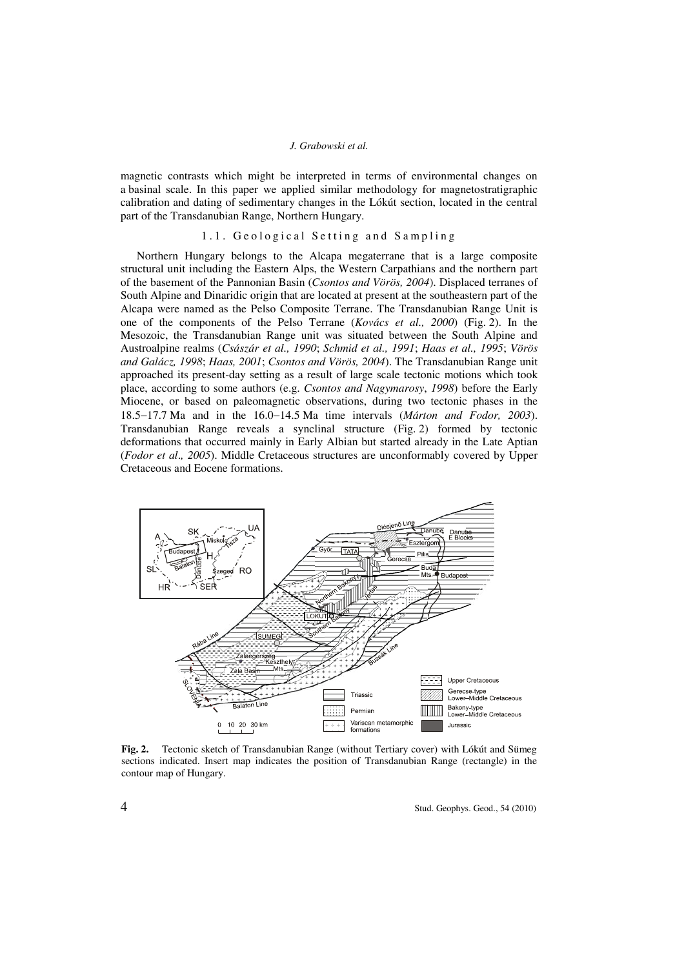magnetic contrasts which might be interpreted in terms of environmental changes on a basinal scale. In this paper we applied similar methodology for magnetostratigraphic calibration and dating of sedimentary changes in the Lókút section, located in the central part of the Transdanubian Range, Northern Hungary.

## 1.1. Geological Setting and Sampling

Northern Hungary belongs to the Alcapa megaterrane that is a large composite structural unit including the Eastern Alps, the Western Carpathians and the northern part of the basement of the Pannonian Basin (*Csontos and Vörös, 2004*). Displaced terranes of South Alpine and Dinaridic origin that are located at present at the southeastern part of the Alcapa were named as the Pelso Composite Terrane. The Transdanubian Range Unit is one of the components of the Pelso Terrane (*Kovács et al., 2000*) (Fig. 2). In the Mesozoic, the Transdanubian Range unit was situated between the South Alpine and Austroalpine realms (*Császár et al., 1990*; *Schmid et al., 1991*; *Haas et al., 1995*; *Vörös and Galácz, 1998*; *Haas, 2001*; *Csontos and Vörös, 2004*). The Transdanubian Range unit approached its present-day setting as a result of large scale tectonic motions which took place, according to some authors (e.g. *Csontos and Nagymarosy*, *1998*) before the Early Miocene, or based on paleomagnetic observations, during two tectonic phases in the 18.5−17.7 Ma and in the 16.0−14.5 Ma time intervals (*Márton and Fodor, 2003*). Transdanubian Range reveals a synclinal structure (Fig. 2) formed by tectonic deformations that occurred mainly in Early Albian but started already in the Late Aptian (*Fodor et al*.*, 2005*). Middle Cretaceous structures are unconformably covered by Upper Cretaceous and Eocene formations.



**Fig. 2.** Tectonic sketch of Transdanubian Range (without Tertiary cover) with Lókút and Sümeg sections indicated. Insert map indicates the position of Transdanubian Range (rectangle) in the contour map of Hungary.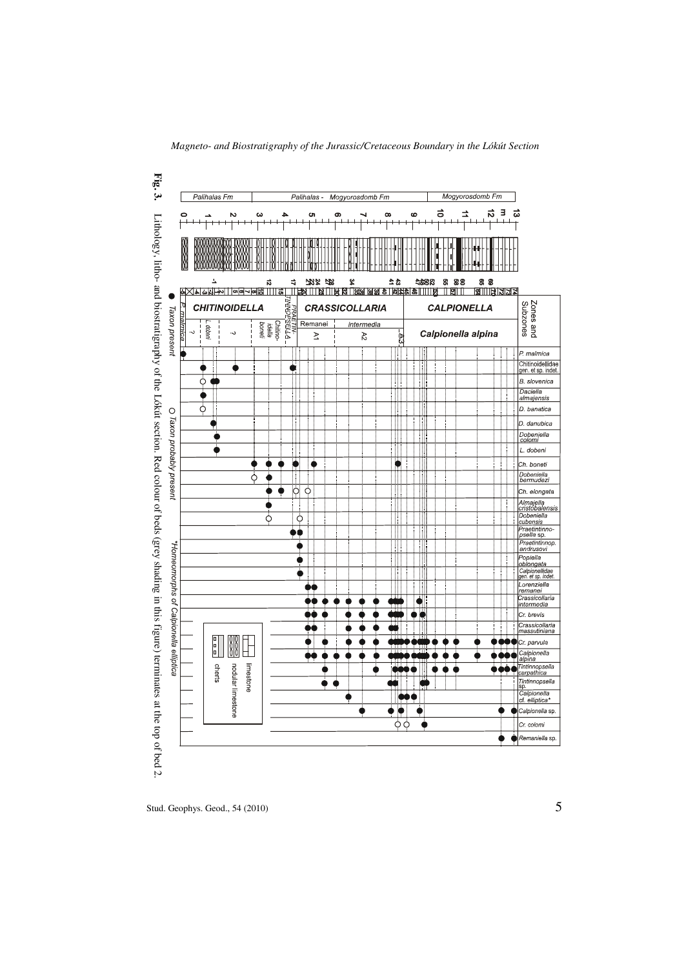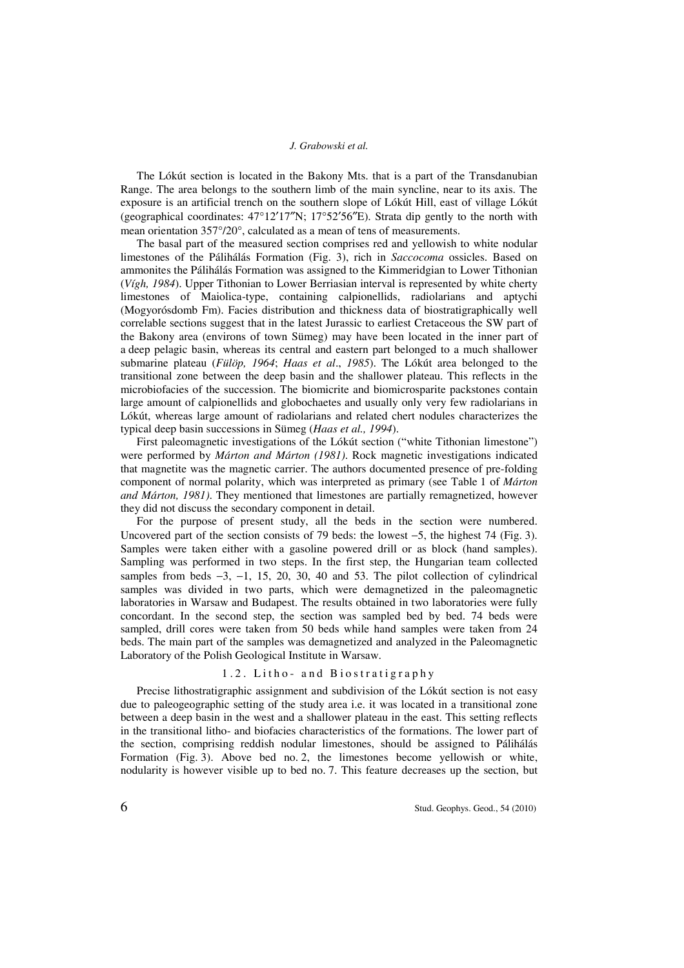The Lókút section is located in the Bakony Mts. that is a part of the Transdanubian Range. The area belongs to the southern limb of the main syncline, near to its axis. The exposure is an artificial trench on the southern slope of Lókút Hill, east of village Lókút (geographical coordinates:  $47^{\circ}12'17''$ N;  $17^{\circ}52'56''$ E). Strata dip gently to the north with mean orientation 357°/20°, calculated as a mean of tens of measurements.

The basal part of the measured section comprises red and yellowish to white nodular limestones of the Pálihálás Formation (Fig. 3), rich in *Saccocoma* ossicles. Based on ammonites the Pálihálás Formation was assigned to the Kimmeridgian to Lower Tithonian (*Vígh, 1984*). Upper Tithonian to Lower Berriasian interval is represented by white cherty limestones of Maiolica-type, containing calpionellids, radiolarians and aptychi (Mogyorósdomb Fm). Facies distribution and thickness data of biostratigraphically well correlable sections suggest that in the latest Jurassic to earliest Cretaceous the SW part of the Bakony area (environs of town Sümeg) may have been located in the inner part of a deep pelagic basin, whereas its central and eastern part belonged to a much shallower submarine plateau (*Fülöp, 1964*; *Haas et al*., *1985*). The Lókút area belonged to the transitional zone between the deep basin and the shallower plateau. This reflects in the microbiofacies of the succession. The biomicrite and biomicrosparite packstones contain large amount of calpionellids and globochaetes and usually only very few radiolarians in Lókút, whereas large amount of radiolarians and related chert nodules characterizes the typical deep basin successions in Sümeg (*Haas et al., 1994*).

First paleomagnetic investigations of the Lókút section ("white Tithonian limestone") were performed by *Márton and Márton (1981)*. Rock magnetic investigations indicated that magnetite was the magnetic carrier. The authors documented presence of pre-folding component of normal polarity, which was interpreted as primary (see Table 1 of *Márton and Márton, 1981)*. They mentioned that limestones are partially remagnetized, however they did not discuss the secondary component in detail.

For the purpose of present study, all the beds in the section were numbered. Uncovered part of the section consists of 79 beds: the lowest −5, the highest 74 (Fig. 3). Samples were taken either with a gasoline powered drill or as block (hand samples). Sampling was performed in two steps. In the first step, the Hungarian team collected samples from beds  $-3$ ,  $-1$ , 15, 20, 30, 40 and 53. The pilot collection of cylindrical samples was divided in two parts, which were demagnetized in the paleomagnetic laboratories in Warsaw and Budapest. The results obtained in two laboratories were fully concordant. In the second step, the section was sampled bed by bed. 74 beds were sampled, drill cores were taken from 50 beds while hand samples were taken from 24 beds. The main part of the samples was demagnetized and analyzed in the Paleomagnetic Laboratory of the Polish Geological Institute in Warsaw.

## 1.2. Litho- and Biostratigraphy

Precise lithostratigraphic assignment and subdivision of the Lókút section is not easy due to paleogeographic setting of the study area i.e. it was located in a transitional zone between a deep basin in the west and a shallower plateau in the east. This setting reflects in the transitional litho- and biofacies characteristics of the formations. The lower part of the section, comprising reddish nodular limestones, should be assigned to Pálihálás Formation (Fig. 3). Above bed no. 2, the limestones become yellowish or white, nodularity is however visible up to bed no. 7. This feature decreases up the section, but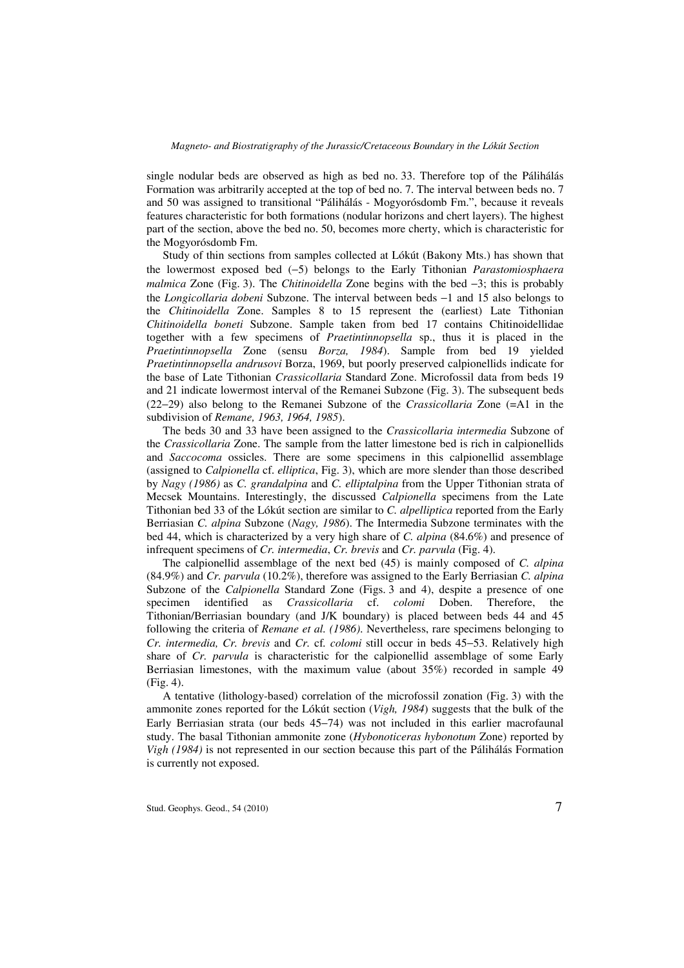single nodular beds are observed as high as bed no. 33. Therefore top of the Pálihálás Formation was arbitrarily accepted at the top of bed no. 7. The interval between beds no. 7 and 50 was assigned to transitional "Pálihálás - Mogyorósdomb Fm.", because it reveals features characteristic for both formations (nodular horizons and chert layers). The highest part of the section, above the bed no. 50, becomes more cherty, which is characteristic for the Mogyorósdomb Fm.

Study of thin sections from samples collected at Lókút (Bakony Mts.) has shown that the lowermost exposed bed (−5) belongs to the Early Tithonian *Parastomiosphaera malmica* Zone (Fig. 3). The *Chitinoidella* Zone begins with the bed −3; this is probably the *Longicollaria dobeni* Subzone. The interval between beds −1 and 15 also belongs to the *Chitinoidella* Zone. Samples 8 to 15 represent the (earliest) Late Tithonian *Chitinoidella boneti* Subzone. Sample taken from bed 17 contains Chitinoidellidae together with a few specimens of *Praetintinnopsella* sp., thus it is placed in the *Praetintinnopsella* Zone (sensu *Borza, 1984*). Sample from bed 19 yielded *Praetintinnopsella andrusovi* Borza, 1969, but poorly preserved calpionellids indicate for the base of Late Tithonian *Crassicollaria* Standard Zone. Microfossil data from beds 19 and 21 indicate lowermost interval of the Remanei Subzone (Fig. 3). The subsequent beds (22−29) also belong to the Remanei Subzone of the *Crassicollaria* Zone (=A1 in the subdivision of *Remane, 1963, 1964, 1985*).

The beds 30 and 33 have been assigned to the *Crassicollaria intermedia* Subzone of the *Crassicollaria* Zone. The sample from the latter limestone bed is rich in calpionellids and *Saccocoma* ossicles. There are some specimens in this calpionellid assemblage (assigned to *Calpionella* cf. *elliptica*, Fig. 3), which are more slender than those described by *Nagy (1986)* as *C. grandalpina* and *C. elliptalpina* from the Upper Tithonian strata of Mecsek Mountains. Interestingly, the discussed *Calpionella* specimens from the Late Tithonian bed 33 of the Lókút section are similar to *C. alpelliptica* reported from the Early Berriasian *C. alpina* Subzone (*Nagy, 1986*). The Intermedia Subzone terminates with the bed 44, which is characterized by a very high share of *C. alpina* (84.6%) and presence of infrequent specimens of *Cr. intermedia*, *Cr. brevis* and *Cr. parvula* (Fig. 4).

The calpionellid assemblage of the next bed (45) is mainly composed of *C. alpina* (84.9%) and *Cr. parvula* (10.2%), therefore was assigned to the Early Berriasian *C. alpina* Subzone of the *Calpionella* Standard Zone (Figs. 3 and 4), despite a presence of one specimen identified as *Crassicollaria* cf. *colomi* Doben. Therefore, the Tithonian/Berriasian boundary (and J/K boundary) is placed between beds 44 and 45 following the criteria of *Remane et al. (1986)*. Nevertheless, rare specimens belonging to *Cr. intermedia, Cr. brevis* and *Cr.* cf*. colomi* still occur in beds 45−53. Relatively high share of *Cr. parvula* is characteristic for the calpionellid assemblage of some Early Berriasian limestones, with the maximum value (about 35%) recorded in sample 49 (Fig. 4).

A tentative (lithology-based) correlation of the microfossil zonation (Fig. 3) with the ammonite zones reported for the Lókút section (*Vigh, 1984*) suggests that the bulk of the Early Berriasian strata (our beds 45−74) was not included in this earlier macrofaunal study. The basal Tithonian ammonite zone (*Hybonoticeras hybonotum* Zone) reported by *Vigh (1984)* is not represented in our section because this part of the Pálihálás Formation is currently not exposed.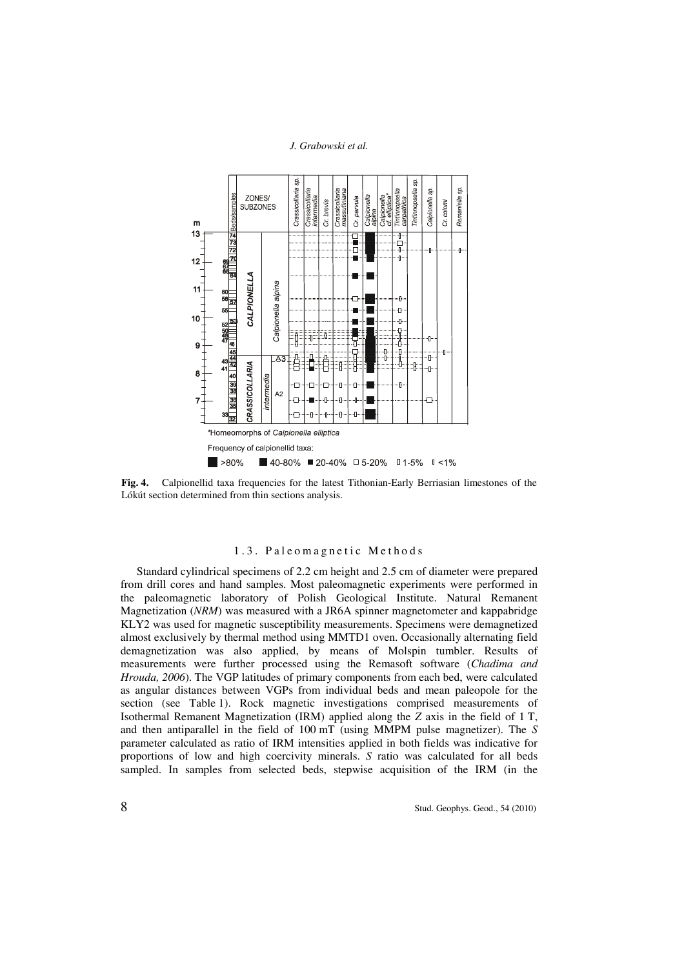

**Fig. 4.** Calpionellid taxa frequencies for the latest Tithonian-Early Berriasian limestones of the Lókút section determined from thin sections analysis.

## 1.3. Paleomagnetic Methods

Standard cylindrical specimens of 2.2 cm height and 2.5 cm of diameter were prepared from drill cores and hand samples. Most paleomagnetic experiments were performed in the paleomagnetic laboratory of Polish Geological Institute. Natural Remanent Magnetization (*NRM*) was measured with a JR6A spinner magnetometer and kappabridge KLY2 was used for magnetic susceptibility measurements. Specimens were demagnetized almost exclusively by thermal method using MMTD1 oven. Occasionally alternating field demagnetization was also applied, by means of Molspin tumbler. Results of measurements were further processed using the Remasoft software (*Chadima and Hrouda, 2006*). The VGP latitudes of primary components from each bed, were calculated as angular distances between VGPs from individual beds and mean paleopole for the section (see Table 1). Rock magnetic investigations comprised measurements of Isothermal Remanent Magnetization (IRM) applied along the *Z* axis in the field of 1 T, and then antiparallel in the field of 100 mT (using MMPM pulse magnetizer). The *S* parameter calculated as ratio of IRM intensities applied in both fields was indicative for proportions of low and high coercivity minerals. *S* ratio was calculated for all beds sampled. In samples from selected beds, stepwise acquisition of the IRM (in the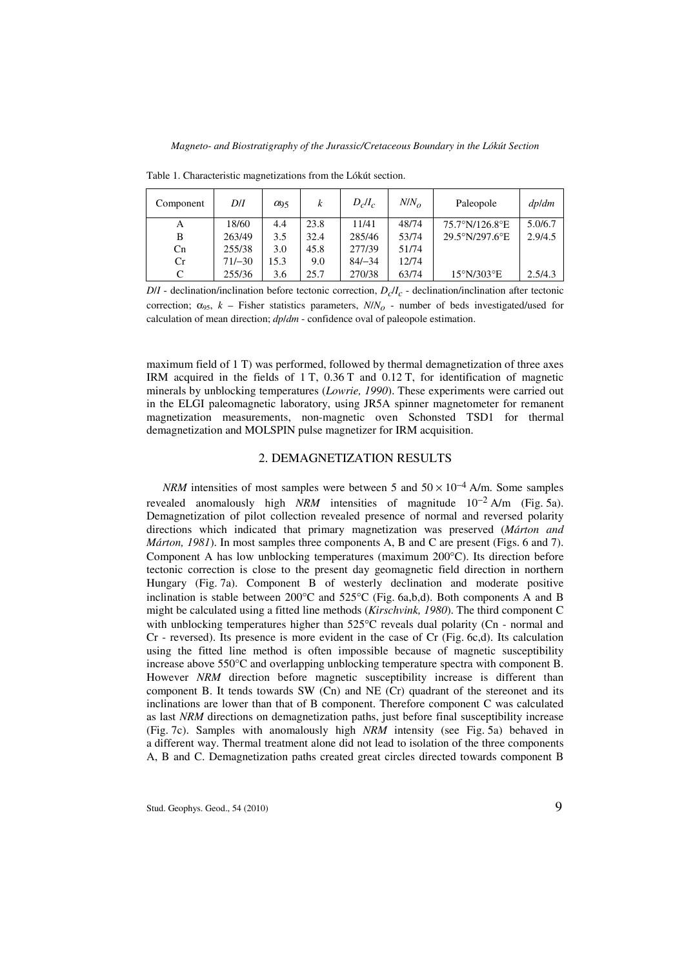| Component | D/I      | $\alpha_{95}$ | k    | $D_c/I_c$ | $N/N_{\alpha}$ | Paleopole      | dp/dm   |
|-----------|----------|---------------|------|-----------|----------------|----------------|---------|
| А         | 18/60    | 4.4           | 23.8 | 11/41     | 48/74          | 75.7°N/126.8°E | 5.0/6.7 |
| В         | 263/49   | 3.5           | 32.4 | 285/46    | 53/74          | 29.5°N/297.6°E | 2.9/4.5 |
| Cn        | 255/38   | 3.0           | 45.8 | 277/39    | 51/74          |                |         |
| Cr        | $71/-30$ | l 5.3         | 9.0  | $84/-34$  | 12/74          |                |         |
| C         | 255/36   | 3.6           | 25.7 | 270/38    | 63/74          | 15°N/303°E     | 2.5/4.3 |

Table 1. Characteristic magnetizations from the Lókút section.

 $D/I$  - declination/inclination before tectonic correction,  $D_c/I_c$  - declination/inclination after tectonic correction;  $\alpha_{95}$ ,  $k$  – Fisher statistics parameters,  $N/N<sub>o</sub>$  - number of beds investigated/used for calculation of mean direction; *dp*/*dm* - confidence oval of paleopole estimation.

maximum field of 1 T) was performed, followed by thermal demagnetization of three axes IRM acquired in the fields of 1 T, 0.36 T and 0.12 T, for identification of magnetic minerals by unblocking temperatures (*Lowrie, 1990*). These experiments were carried out in the ELGI paleomagnetic laboratory, using JR5A spinner magnetometer for remanent magnetization measurements, non-magnetic oven Schonsted TSD1 for thermal demagnetization and MOLSPIN pulse magnetizer for IRM acquisition.

## 2. DEMAGNETIZATION RESULTS

*NRM* intensities of most samples were between 5 and  $50 \times 10^{-4}$  A/m. Some samples revealed anomalously high *NRM* intensities of magnitude 10−2 A/m (Fig. 5a). Demagnetization of pilot collection revealed presence of normal and reversed polarity directions which indicated that primary magnetization was preserved (*Márton and Márton, 1981*). In most samples three components A, B and C are present (Figs. 6 and 7). Component A has low unblocking temperatures (maximum 200°C). Its direction before tectonic correction is close to the present day geomagnetic field direction in northern Hungary (Fig. 7a). Component B of westerly declination and moderate positive inclination is stable between 200°C and 525°C (Fig. 6a,b,d). Both components A and B might be calculated using a fitted line methods (*Kirschvink, 1980*). The third component C with unblocking temperatures higher than  $525^{\circ}$ C reveals dual polarity (Cn - normal and Cr - reversed). Its presence is more evident in the case of Cr (Fig. 6c,d). Its calculation using the fitted line method is often impossible because of magnetic susceptibility increase above 550°C and overlapping unblocking temperature spectra with component B. However *NRM* direction before magnetic susceptibility increase is different than component B. It tends towards SW (Cn) and NE (Cr) quadrant of the stereonet and its inclinations are lower than that of B component. Therefore component C was calculated as last *NRM* directions on demagnetization paths, just before final susceptibility increase (Fig. 7c). Samples with anomalously high *NRM* intensity (see Fig. 5a) behaved in a different way. Thermal treatment alone did not lead to isolation of the three components A, B and C. Demagnetization paths created great circles directed towards component B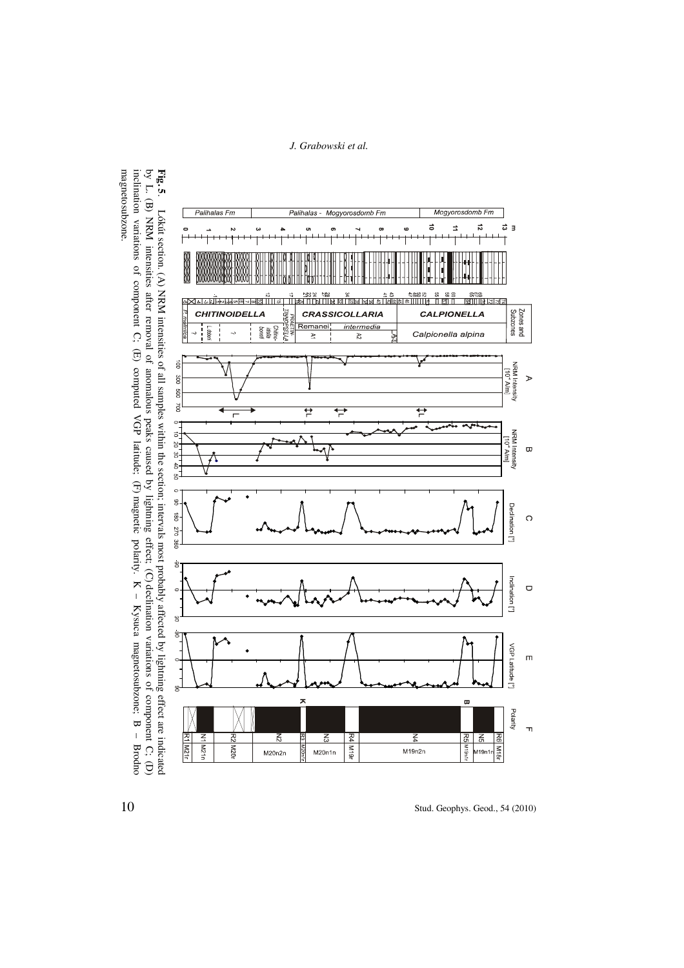

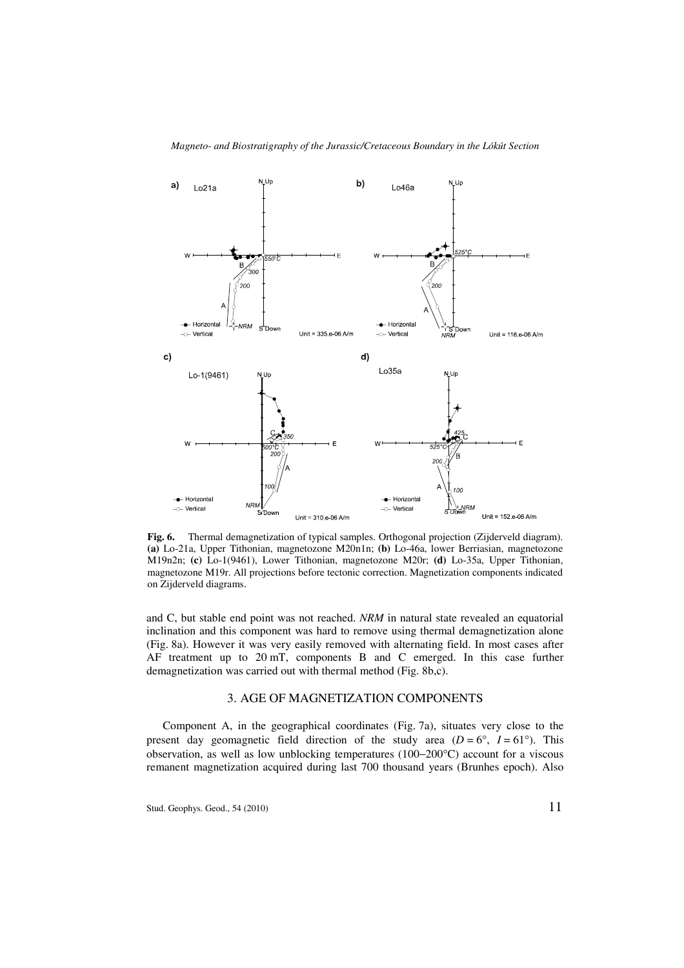

**Fig. 6.** Thermal demagnetization of typical samples. Orthogonal projection (Zijderveld diagram). **(a)** Lo-21a, Upper Tithonian, magnetozone M20n1n; **(b)** Lo-46a, lower Berriasian, magnetozone M19n2n; **(c)** Lo-1(9461), Lower Tithonian, magnetozone M20r; **(d)** Lo-35a, Upper Tithonian, magnetozone M19r. All projections before tectonic correction. Magnetization components indicated on Zijderveld diagrams.

and C, but stable end point was not reached. *NRM* in natural state revealed an equatorial inclination and this component was hard to remove using thermal demagnetization alone (Fig. 8a). However it was very easily removed with alternating field. In most cases after AF treatment up to 20 mT, components B and C emerged. In this case further demagnetization was carried out with thermal method (Fig. 8b,c).

## 3. AGE OF MAGNETIZATION COMPONENTS

Component A, in the geographical coordinates (Fig. 7a), situates very close to the present day geomagnetic field direction of the study area  $(D = 6^{\circ}, I = 61^{\circ})$ . This observation, as well as low unblocking temperatures (100−200°C) account for a viscous remanent magnetization acquired during last 700 thousand years (Brunhes epoch). Also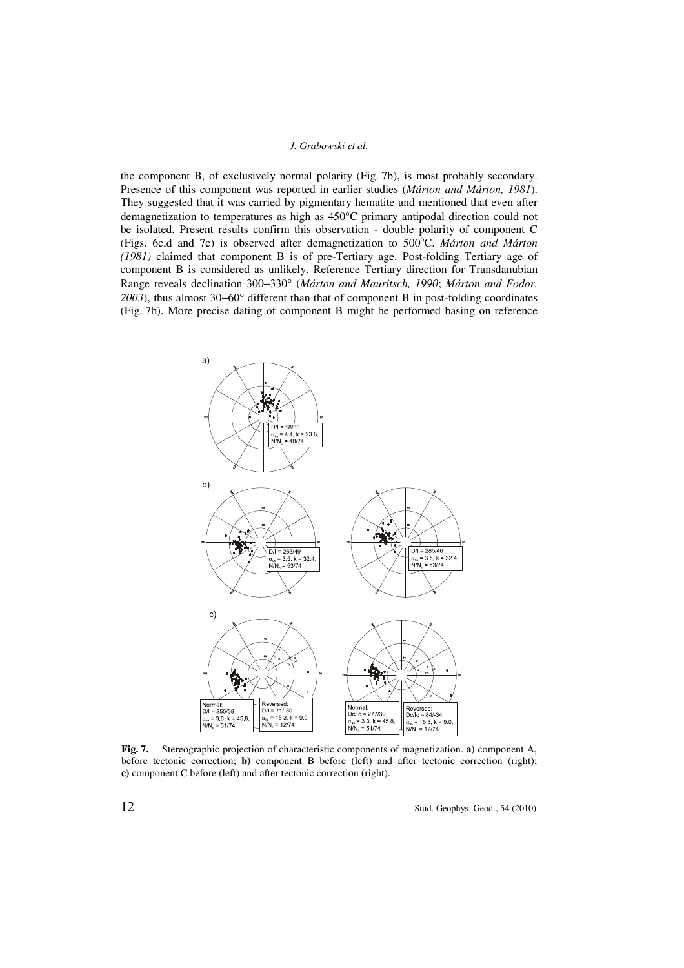the component B, of exclusively normal polarity (Fig. 7b), is most probably secondary. Presence of this component was reported in earlier studies (*Márton and Márton, 1981*). They suggested that it was carried by pigmentary hematite and mentioned that even after demagnetization to temperatures as high as 450°C primary antipodal direction could not be isolated. Present results confirm this observation - double polarity of component C (Figs. 6c,d and 7c) is observed after demagnetization to 500°C. Márton and Márton *(1981)* claimed that component B is of pre-Tertiary age. Post-folding Tertiary age of component B is considered as unlikely. Reference Tertiary direction for Transdanubian Range reveals declination 300−330° (*Márton and Mauritsch, 1990*; *Márton and Fodor,*  2003), thus almost 30−60° different than that of component B in post-folding coordinates (Fig. 7b). More precise dating of component B might be performed basing on reference



**Fig. 7.** Stereographic projection of characteristic components of magnetization. **a)** component A, before tectonic correction; **b)** component B before (left) and after tectonic correction (right); **c)** component C before (left) and after tectonic correction (right).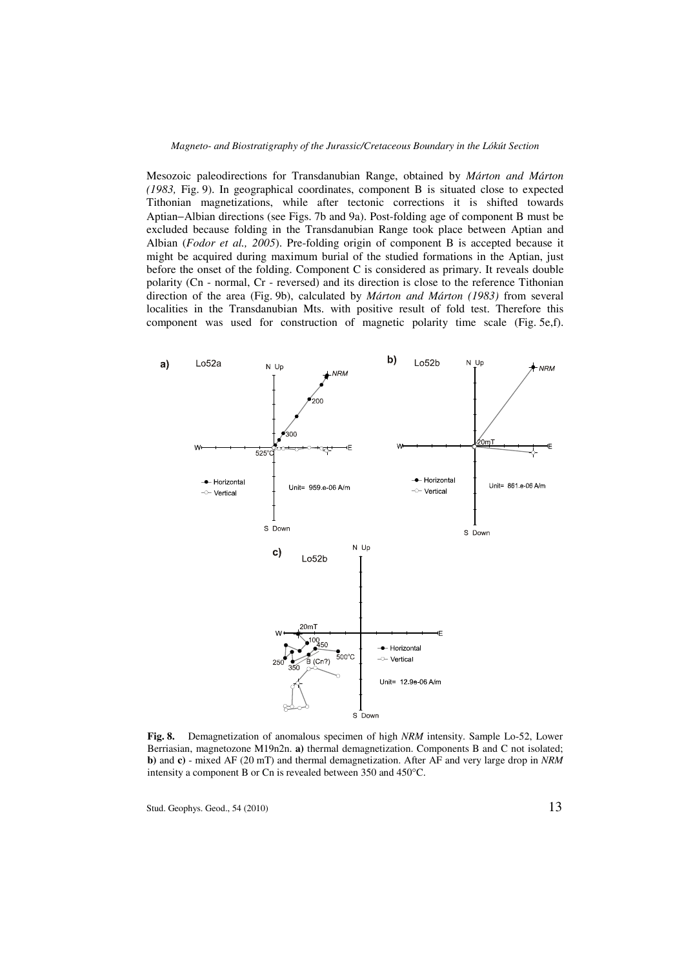Mesozoic paleodirections for Transdanubian Range, obtained by *Márton and Márton (1983,* Fig. 9). In geographical coordinates, component B is situated close to expected Tithonian magnetizations, while after tectonic corrections it is shifted towards Aptian−Albian directions (see Figs. 7b and 9a). Post-folding age of component B must be excluded because folding in the Transdanubian Range took place between Aptian and Albian (*Fodor et al., 2005*). Pre-folding origin of component B is accepted because it might be acquired during maximum burial of the studied formations in the Aptian, just before the onset of the folding. Component C is considered as primary. It reveals double polarity (Cn - normal, Cr - reversed) and its direction is close to the reference Tithonian direction of the area (Fig. 9b), calculated by *Márton and Márton (1983)* from several localities in the Transdanubian Mts. with positive result of fold test. Therefore this component was used for construction of magnetic polarity time scale (Fig. 5e,f).



**Fig. 8.** Demagnetization of anomalous specimen of high *NRM* intensity. Sample Lo-52, Lower Berriasian, magnetozone M19n2n. **a)** thermal demagnetization. Components B and C not isolated; **b)** and **c)** - mixed AF (20 mT) and thermal demagnetization. After AF and very large drop in *NRM* intensity a component B or Cn is revealed between 350 and 450°C.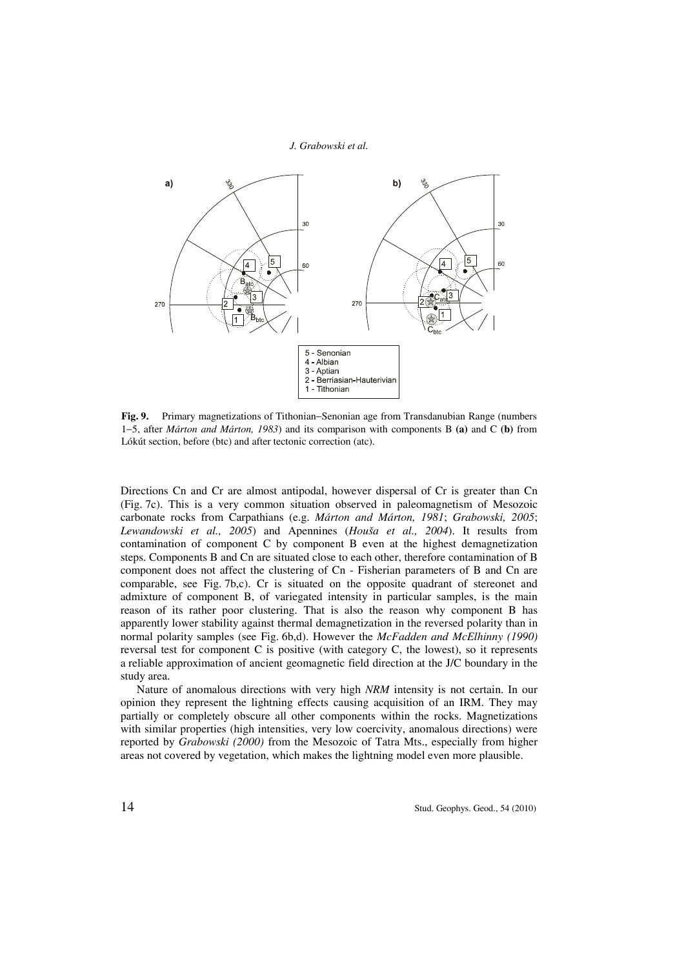

**Fig. 9.** Primary magnetizations of Tithonian−Senonian age from Transdanubian Range (numbers 1−5, after *Márton and Márton, 1983*) and its comparison with components B **(a)** and C **(b)** from Lókút section, before (btc) and after tectonic correction (atc).

Directions Cn and Cr are almost antipodal, however dispersal of Cr is greater than Cn (Fig. 7c). This is a very common situation observed in paleomagnetism of Mesozoic carbonate rocks from Carpathians (e.g. *Márton and Márton, 1981*; *Grabowski, 2005*; *Lewandowski et al., 2005*) and Apennines (*Houša et al., 2004*). It results from contamination of component C by component B even at the highest demagnetization steps. Components B and Cn are situated close to each other, therefore contamination of B component does not affect the clustering of Cn - Fisherian parameters of B and Cn are comparable, see Fig. 7b,c). Cr is situated on the opposite quadrant of stereonet and admixture of component B, of variegated intensity in particular samples, is the main reason of its rather poor clustering. That is also the reason why component B has apparently lower stability against thermal demagnetization in the reversed polarity than in normal polarity samples (see Fig. 6b,d). However the *McFadden and McElhinny (1990)* reversal test for component C is positive (with category C, the lowest), so it represents a reliable approximation of ancient geomagnetic field direction at the J/C boundary in the study area.

Nature of anomalous directions with very high *NRM* intensity is not certain. In our opinion they represent the lightning effects causing acquisition of an IRM. They may partially or completely obscure all other components within the rocks. Magnetizations with similar properties (high intensities, very low coercivity, anomalous directions) were reported by *Grabowski (2000)* from the Mesozoic of Tatra Mts., especially from higher areas not covered by vegetation, which makes the lightning model even more plausible.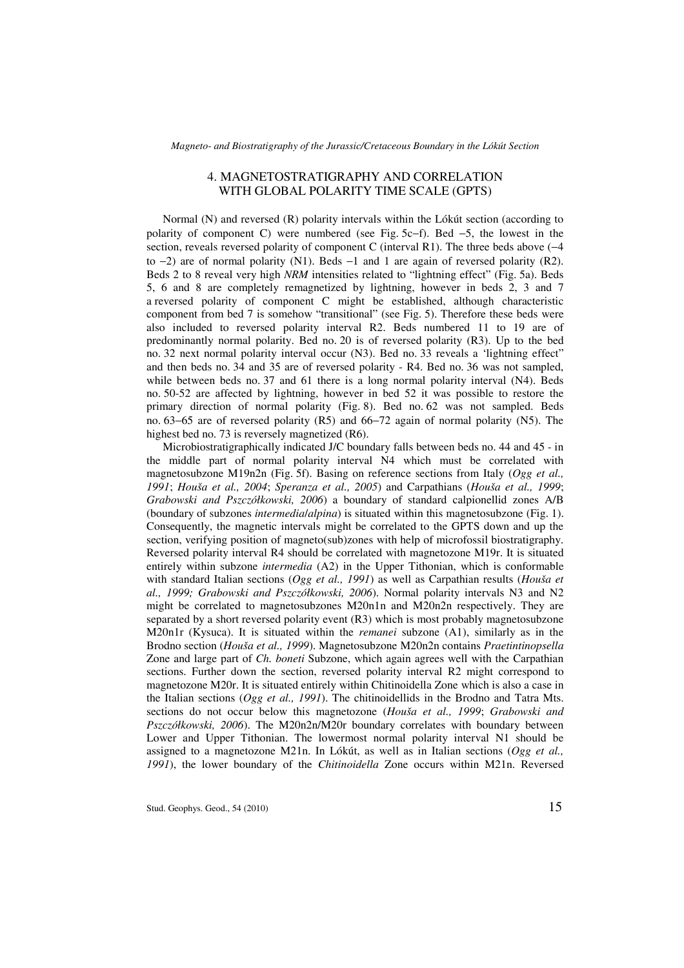# 4. MAGNETOSTRATIGRAPHY AND CORRELATION WITH GLOBAL POLARITY TIME SCALE (GPTS)

Normal (N) and reversed (R) polarity intervals within the Lókút section (according to polarity of component C) were numbered (see Fig. 5c−f). Bed −5, the lowest in the section, reveals reversed polarity of component C (interval R1). The three beds above (−4 to  $-2$ ) are of normal polarity (N1). Beds  $-1$  and 1 are again of reversed polarity (R2). Beds 2 to 8 reveal very high *NRM* intensities related to "lightning effect" (Fig. 5a). Beds 5, 6 and 8 are completely remagnetized by lightning, however in beds 2, 3 and 7 a reversed polarity of component C might be established, although characteristic component from bed 7 is somehow "transitional" (see Fig. 5). Therefore these beds were also included to reversed polarity interval R2. Beds numbered 11 to 19 are of predominantly normal polarity. Bed no. 20 is of reversed polarity (R3). Up to the bed no. 32 next normal polarity interval occur (N3). Bed no. 33 reveals a 'lightning effect" and then beds no. 34 and 35 are of reversed polarity - R4. Bed no. 36 was not sampled, while between beds no. 37 and 61 there is a long normal polarity interval (N4). Beds no. 50-52 are affected by lightning, however in bed 52 it was possible to restore the primary direction of normal polarity (Fig. 8). Bed no. 62 was not sampled. Beds no. 63−65 are of reversed polarity (R5) and 66−72 again of normal polarity (N5). The highest bed no. 73 is reversely magnetized (R6).

Microbiostratigraphically indicated J/C boundary falls between beds no. 44 and 45 - in the middle part of normal polarity interval N4 which must be correlated with magnetosubzone M19n2n (Fig. 5f). Basing on reference sections from Italy (*Ogg et al., 1991*; *Houša et al., 2004*; *Speranza et al., 2005*) and Carpathians (*Houša et al., 1999*; *Grabowski and Pszczółkowski, 2006*) a boundary of standard calpionellid zones A/B (boundary of subzones *intermedia*/*alpina*) is situated within this magnetosubzone (Fig. 1). Consequently, the magnetic intervals might be correlated to the GPTS down and up the section, verifying position of magneto(sub)zones with help of microfossil biostratigraphy. Reversed polarity interval R4 should be correlated with magnetozone M19r. It is situated entirely within subzone *intermedia* (A2) in the Upper Tithonian, which is conformable with standard Italian sections (*Ogg et al., 1991*) as well as Carpathian results (*Houša et al., 1999; Grabowski and Pszczółkowski, 2006*). Normal polarity intervals N3 and N2 might be correlated to magnetosubzones M20n1n and M20n2n respectively. They are separated by a short reversed polarity event (R3) which is most probably magnetosubzone M20n1r (Kysuca). It is situated within the *remanei* subzone (A1), similarly as in the Brodno section (*Houša et al., 1999*). Magnetosubzone M20n2n contains *Praetintinopsella* Zone and large part of *Ch. boneti* Subzone, which again agrees well with the Carpathian sections. Further down the section, reversed polarity interval R2 might correspond to magnetozone M20r. It is situated entirely within Chitinoidella Zone which is also a case in the Italian sections (*Ogg et al., 1991*). The chitinoidellids in the Brodno and Tatra Mts. sections do not occur below this magnetozone (*Houša et al., 1999*; *Grabowski and Pszczółkowski, 2006*). The M20n2n/M20r boundary correlates with boundary between Lower and Upper Tithonian. The lowermost normal polarity interval N1 should be assigned to a magnetozone M21n. In Lókút, as well as in Italian sections (*Ogg et al., 1991*), the lower boundary of the *Chitinoidella* Zone occurs within M21n. Reversed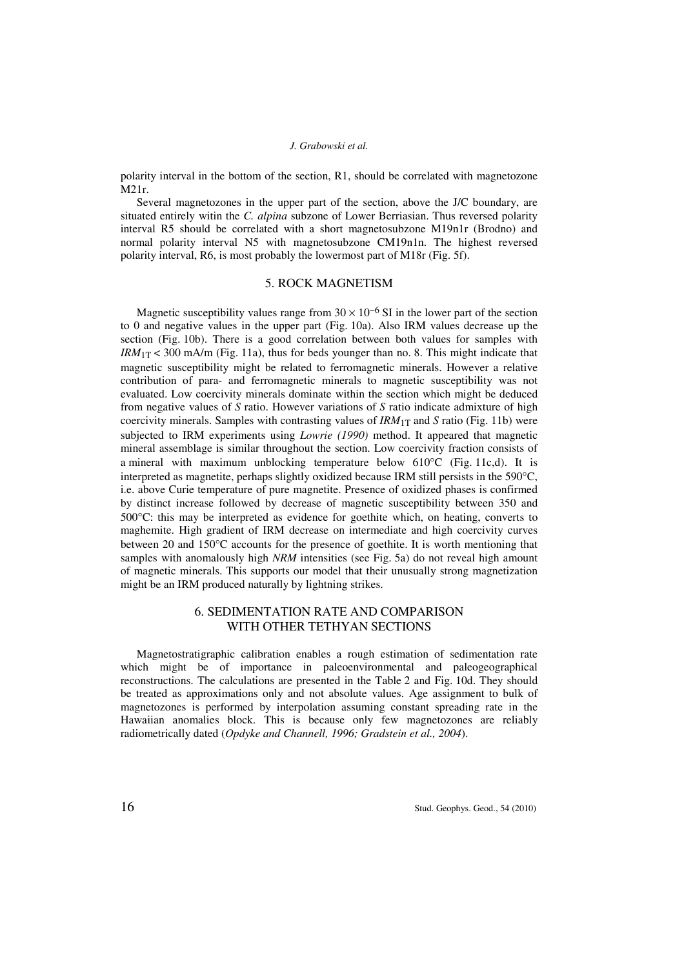polarity interval in the bottom of the section, R1, should be correlated with magnetozone M21r.

Several magnetozones in the upper part of the section, above the J/C boundary, are situated entirely witin the *C. alpina* subzone of Lower Berriasian. Thus reversed polarity interval R5 should be correlated with a short magnetosubzone M19n1r (Brodno) and normal polarity interval N5 with magnetosubzone CM19n1n. The highest reversed polarity interval, R6, is most probably the lowermost part of M18r (Fig. 5f).

## 5. ROCK MAGNETISM

Magnetic susceptibility values range from  $30 \times 10^{-6}$  SI in the lower part of the section to 0 and negative values in the upper part (Fig. 10a). Also IRM values decrease up the section (Fig. 10b). There is a good correlation between both values for samples with  $IRM_{1T}$  < 300 mA/m (Fig. 11a), thus for beds younger than no. 8. This might indicate that magnetic susceptibility might be related to ferromagnetic minerals. However a relative contribution of para- and ferromagnetic minerals to magnetic susceptibility was not evaluated. Low coercivity minerals dominate within the section which might be deduced from negative values of *S* ratio. However variations of *S* ratio indicate admixture of high coercivity minerals. Samples with contrasting values of  $IRM<sub>1T</sub>$  and *S* ratio (Fig. 11b) were subjected to IRM experiments using *Lowrie (1990)* method. It appeared that magnetic mineral assemblage is similar throughout the section. Low coercivity fraction consists of a mineral with maximum unblocking temperature below  $610^{\circ}$ C (Fig. 11c,d). It is interpreted as magnetite, perhaps slightly oxidized because IRM still persists in the  $590^{\circ}$ C, i.e. above Curie temperature of pure magnetite. Presence of oxidized phases is confirmed by distinct increase followed by decrease of magnetic susceptibility between 350 and 500°C: this may be interpreted as evidence for goethite which, on heating, converts to maghemite. High gradient of IRM decrease on intermediate and high coercivity curves between 20 and 150°C accounts for the presence of goethite. It is worth mentioning that samples with anomalously high *NRM* intensities (see Fig. 5a) do not reveal high amount of magnetic minerals. This supports our model that their unusually strong magnetization might be an IRM produced naturally by lightning strikes.

# 6. SEDIMENTATION RATE AND COMPARISON WITH OTHER TETHYAN SECTIONS

Magnetostratigraphic calibration enables a rough estimation of sedimentation rate which might be of importance in paleoenvironmental and paleogeographical reconstructions. The calculations are presented in the Table 2 and Fig. 10d. They should be treated as approximations only and not absolute values. Age assignment to bulk of magnetozones is performed by interpolation assuming constant spreading rate in the Hawaiian anomalies block. This is because only few magnetozones are reliably radiometrically dated (*Opdyke and Channell, 1996; Gradstein et al., 2004*).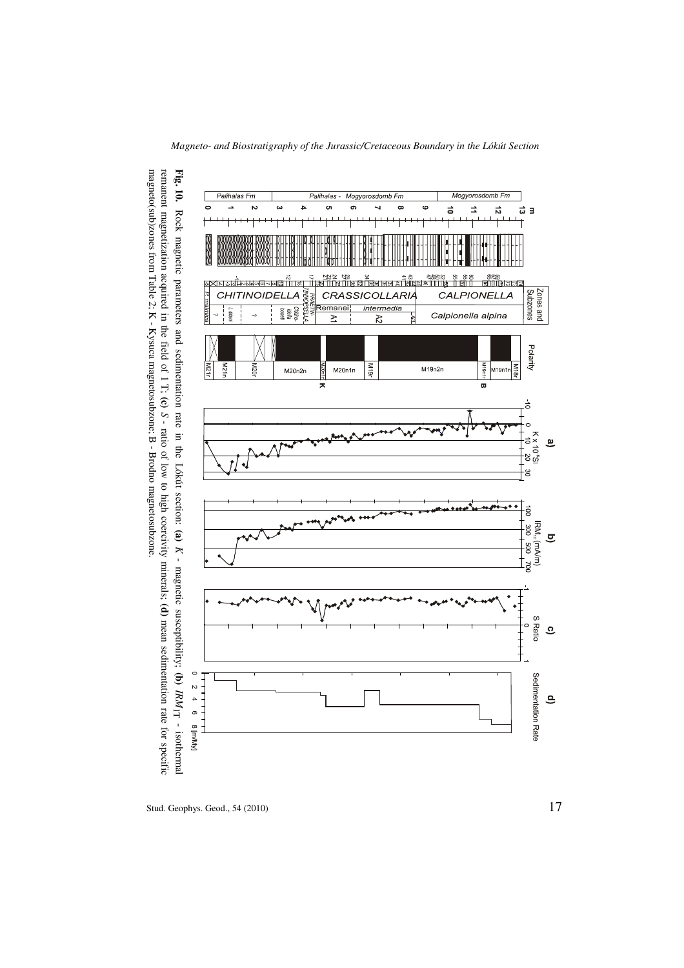

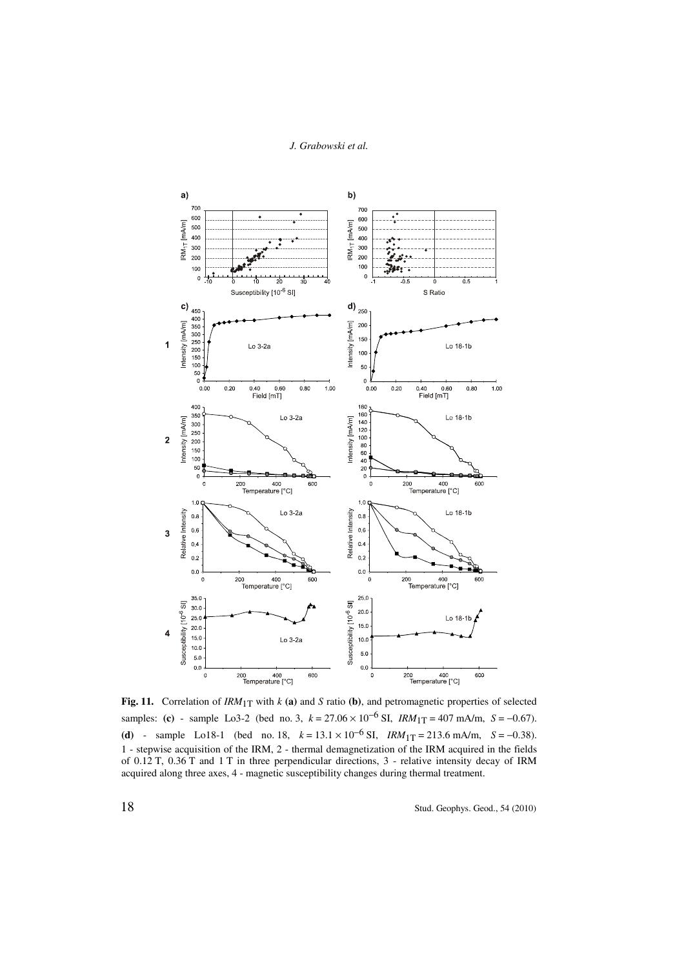

**Fig. 11.** Correlation of *IRM*1T with *k* **(a)** and *S* ratio **(b)**, and petromagnetic properties of selected samples: **(c)** - sample Lo3-2 (bed no. 3,  $k = 27.06 \times 10^{-6}$  SI,  $IRM_{1T} = 407$  mA/m,  $S = -0.67$ ). **(d)** - sample Lo18-1 (bed no. 18,  $k = 13.1 \times 10^{-6}$  SI,  $IRM_{1T} = 213.6$  mA/m,  $S = -0.38$ ). 1 - stepwise acquisition of the IRM, 2 - thermal demagnetization of the IRM acquired in the fields of 0.12 T, 0.36 T and 1 T in three perpendicular directions, 3 - relative intensity decay of IRM acquired along three axes, 4 - magnetic susceptibility changes during thermal treatment.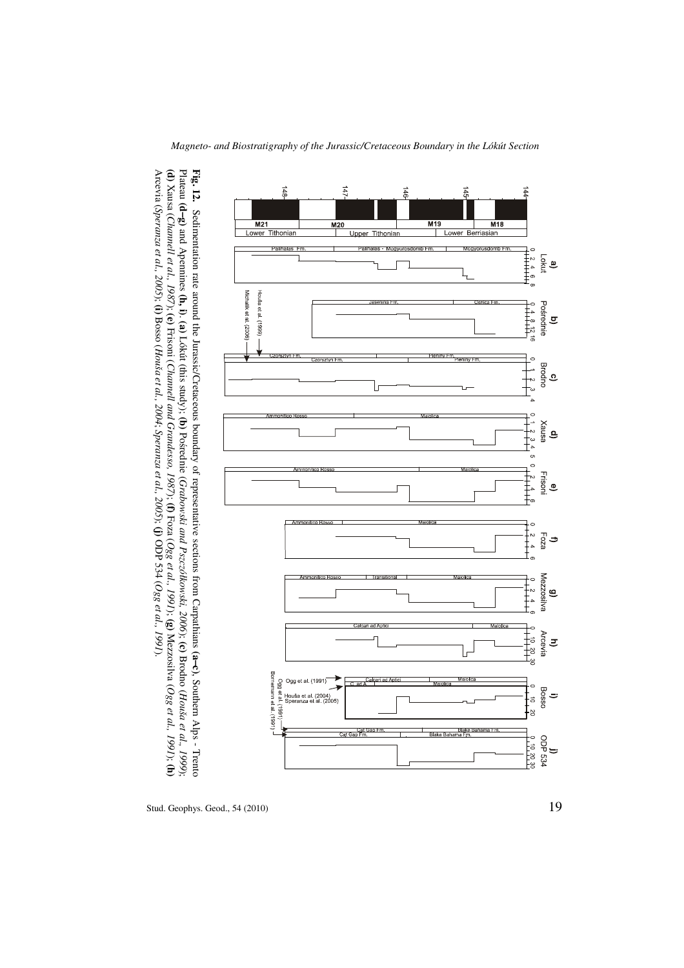−**c)**, Southern Alps - Trento Plateau **(d** −**g)** and Apennines **(h, i)**. **(a)** Lókút (this study); **(b)** Pośrednie (*Grabowski and Pszczółkowski, 2006*); **(c)** Brodno (*Houša et al., 1999*); **(d)** Xausa (*Channell et al., 1987*); **(e)** Frisoni (*Channell and Grandesso, 1987*); **(f)** Foza (*Ogg et al., 1991*); **(g)** Mezzosilva (*Ogg et al., 1991*); **(h)** Arcevia (*Speranza et al., 2005*); **(i)** Bosso (*Houša et al., 2004*; *Speranza et al., 2005*); **(j)** ODP 534 (*Ogg et al., 1991*).

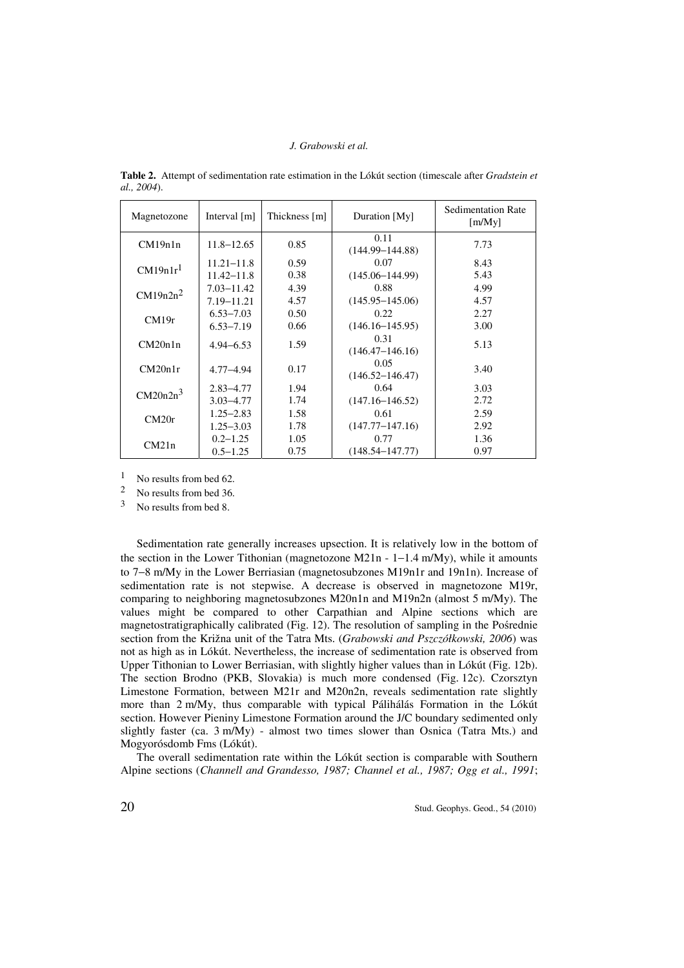| Magnetozone          | Interval $[m]$ | Thickness [m] | Duration [My]               | <b>Sedimentation Rate</b><br>[m/My] |
|----------------------|----------------|---------------|-----------------------------|-------------------------------------|
| CM19n1n              | $11.8 - 12.65$ | 0.85          | 0.11<br>$(144.99 - 144.88)$ | 7.73                                |
| CM19n1r <sup>1</sup> | $11.21 - 11.8$ | 0.59          | 0.07                        | 8.43                                |
|                      | $11.42 - 11.8$ | 0.38          | $(145.06 - 144.99)$         | 5.43                                |
| $CM19n2n^2$          | $7.03 - 11.42$ | 4.39          | 0.88                        | 4.99                                |
|                      | $7.19 - 11.21$ | 4.57          | $(145.95 - 145.06)$         | 4.57                                |
| CM19r                | $6.53 - 7.03$  | 0.50          | 0.22                        | 2.27                                |
|                      | $6.53 - 7.19$  | 0.66          | $(146.16 - 145.95)$         | 3.00                                |
| CM20n1n              | $4.94 - 6.53$  | 1.59          | 0.31<br>$(146.47 - 146.16)$ | 5.13                                |
| CM20n1r              | 4.77–4.94      | 0.17          | 0.05<br>$(146.52 - 146.47)$ | 3.40                                |
| $CM20n2n^3$          | $2.83 - 4.77$  | 1.94          | 0.64                        | 3.03                                |
|                      | $3.03 - 4.77$  | 1.74          | $(147.16 - 146.52)$         | 2.72                                |
| CM20r                | $1.25 - 2.83$  | 1.58          | 0.61                        | 2.59                                |
|                      | $1.25 - 3.03$  | 1.78          | $(147.77 - 147.16)$         | 2.92                                |
| CM21n                | $0.2 - 1.25$   | 1.05          | 0.77                        | 1.36                                |
|                      | $0.5 - 1.25$   | 0.75          | $(148.54 - 147.77)$         | 0.97                                |

**Table 2.** Attempt of sedimentation rate estimation in the Lókút section (timescale after *Gradstein et al., 2004*).

 $\frac{1}{2}$  No results from bed 62.

No results from bed 36.

3 No results from bed 8.

Sedimentation rate generally increases upsection. It is relatively low in the bottom of the section in the Lower Tithonian (magnetozone M21n - 1−1.4 m/My), while it amounts to 7−8 m/My in the Lower Berriasian (magnetosubzones M19n1r and 19n1n). Increase of sedimentation rate is not stepwise. A decrease is observed in magnetozone M19r, comparing to neighboring magnetosubzones M20n1n and M19n2n (almost 5 m/My). The values might be compared to other Carpathian and Alpine sections which are magnetostratigraphically calibrated (Fig. 12). The resolution of sampling in the Pośrednie section from the Križna unit of the Tatra Mts. (*Grabowski and Pszczółkowski, 2006*) was not as high as in Lókút. Nevertheless, the increase of sedimentation rate is observed from Upper Tithonian to Lower Berriasian, with slightly higher values than in Lókút (Fig. 12b). The section Brodno (PKB, Slovakia) is much more condensed (Fig. 12c). Czorsztyn Limestone Formation, between M21r and M20n2n, reveals sedimentation rate slightly more than 2 m/My, thus comparable with typical Pálihálás Formation in the Lókút section. However Pieniny Limestone Formation around the J/C boundary sedimented only slightly faster (ca.  $3 \text{ m/My}$ ) - almost two times slower than Osnica (Tatra Mts.) and Mogyorósdomb Fms (Lókút).

The overall sedimentation rate within the Lókút section is comparable with Southern Alpine sections (*Channell and Grandesso, 1987; Channel et al., 1987; Ogg et al., 1991*;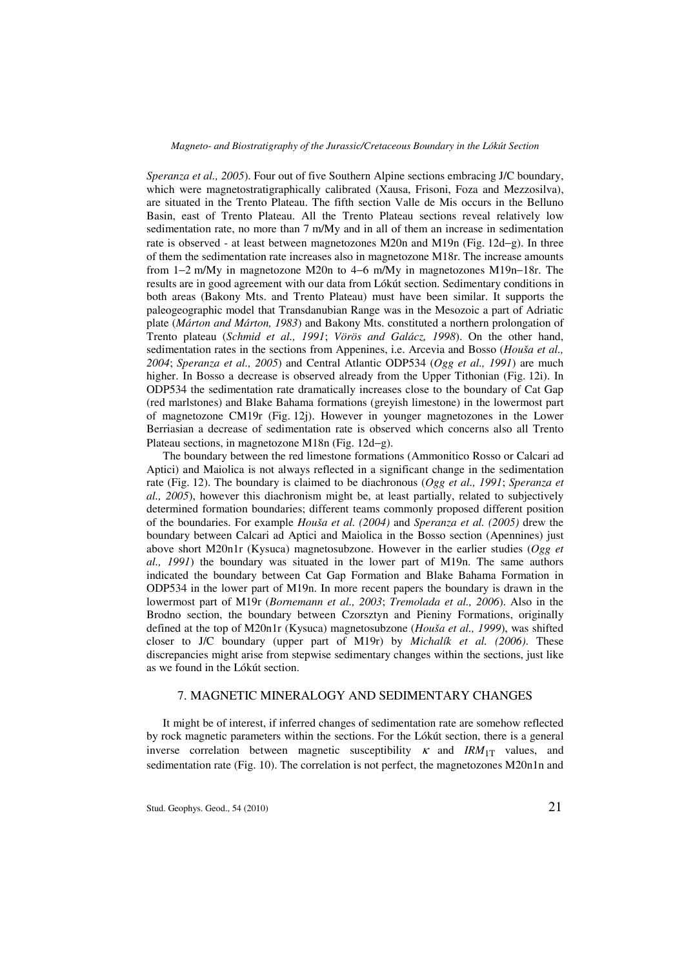*Speranza et al., 2005*). Four out of five Southern Alpine sections embracing J/C boundary, which were magnetostratigraphically calibrated (Xausa, Frisoni, Foza and Mezzosilva), are situated in the Trento Plateau. The fifth section Valle de Mis occurs in the Belluno Basin, east of Trento Plateau. All the Trento Plateau sections reveal relatively low sedimentation rate, no more than 7 m/My and in all of them an increase in sedimentation rate is observed - at least between magnetozones M20n and M19n (Fig. 12d−g). In three of them the sedimentation rate increases also in magnetozone M18r. The increase amounts from 1−2 m/My in magnetozone M20n to 4−6 m/My in magnetozones M19n−18r. The results are in good agreement with our data from Lókút section. Sedimentary conditions in both areas (Bakony Mts. and Trento Plateau) must have been similar. It supports the paleogeographic model that Transdanubian Range was in the Mesozoic a part of Adriatic plate (*Márton and Márton, 1983*) and Bakony Mts. constituted a northern prolongation of Trento plateau (*Schmid et al., 1991*; *Vörös and Galácz, 1998*). On the other hand, sedimentation rates in the sections from Appenines, i.e. Arcevia and Bosso (*Houša et al., 2004*; *Speranza et al., 2005*) and Central Atlantic ODP534 (*Ogg et al., 1991*) are much higher. In Bosso a decrease is observed already from the Upper Tithonian (Fig. 12i). In ODP534 the sedimentation rate dramatically increases close to the boundary of Cat Gap (red marlstones) and Blake Bahama formations (greyish limestone) in the lowermost part of magnetozone CM19r (Fig. 12j). However in younger magnetozones in the Lower Berriasian a decrease of sedimentation rate is observed which concerns also all Trento Plateau sections, in magnetozone M18n (Fig. 12d−g).

The boundary between the red limestone formations (Ammonitico Rosso or Calcari ad Aptici) and Maiolica is not always reflected in a significant change in the sedimentation rate (Fig. 12). The boundary is claimed to be diachronous (*Ogg et al., 1991*; *Speranza et al., 2005*), however this diachronism might be, at least partially, related to subjectively determined formation boundaries; different teams commonly proposed different position of the boundaries. For example *Houša et al. (2004)* and *Speranza et al. (2005)* drew the boundary between Calcari ad Aptici and Maiolica in the Bosso section (Apennines) just above short M20n1r (Kysuca) magnetosubzone. However in the earlier studies (*Ogg et al., 1991*) the boundary was situated in the lower part of M19n. The same authors indicated the boundary between Cat Gap Formation and Blake Bahama Formation in ODP534 in the lower part of M19n. In more recent papers the boundary is drawn in the lowermost part of M19r (*Bornemann et al., 2003*; *Tremolada et al., 2006*). Also in the Brodno section, the boundary between Czorsztyn and Pieniny Formations, originally defined at the top of M20n1r (Kysuca) magnetosubzone (*Houša et al., 1999*), was shifted closer to J/C boundary (upper part of M19r) by *Michalík et al. (2006)*. These discrepancies might arise from stepwise sedimentary changes within the sections, just like as we found in the Lókút section.

## 7. MAGNETIC MINERALOGY AND SEDIMENTARY CHANGES

It might be of interest, if inferred changes of sedimentation rate are somehow reflected by rock magnetic parameters within the sections. For the Lókút section, there is a general inverse correlation between magnetic susceptibility  $\kappa$  and  $\text{IRM}_{1T}$  values, and sedimentation rate (Fig. 10). The correlation is not perfect, the magnetozones M20n1n and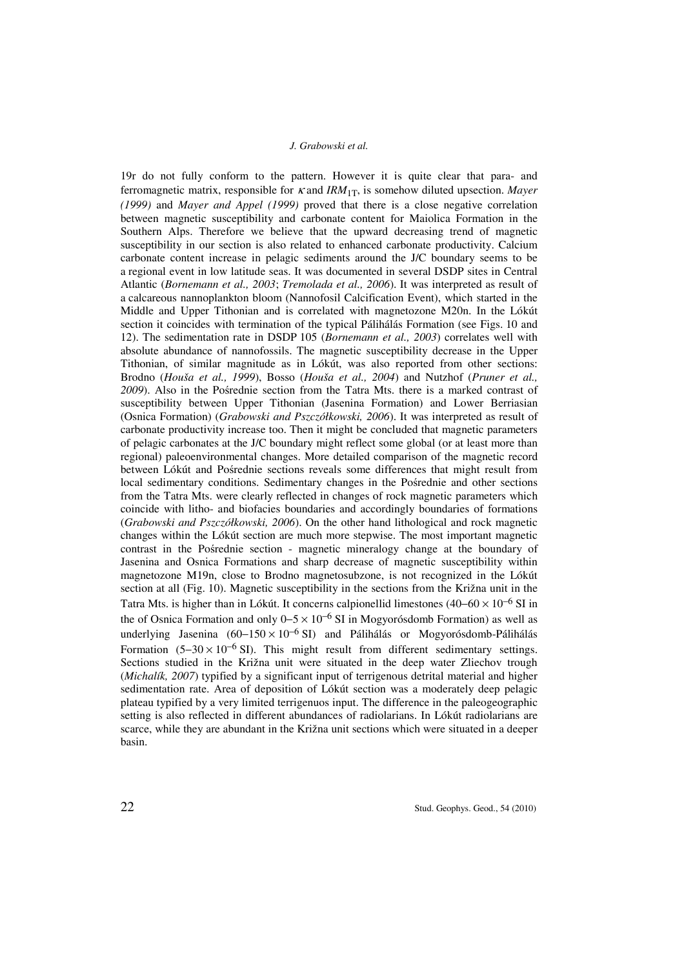19r do not fully conform to the pattern. However it is quite clear that para- and ferromagnetic matrix, responsible for  $\kappa$  and *IRM*<sub>1T</sub>, is somehow diluted upsection. *Mayer (1999)* and *Mayer and Appel (1999)* proved that there is a close negative correlation between magnetic susceptibility and carbonate content for Maiolica Formation in the Southern Alps. Therefore we believe that the upward decreasing trend of magnetic susceptibility in our section is also related to enhanced carbonate productivity. Calcium carbonate content increase in pelagic sediments around the J/C boundary seems to be a regional event in low latitude seas. It was documented in several DSDP sites in Central Atlantic (*Bornemann et al., 2003*; *Tremolada et al., 2006*). It was interpreted as result of a calcareous nannoplankton bloom (Nannofosil Calcification Event), which started in the Middle and Upper Tithonian and is correlated with magnetozone M20n. In the Lókút section it coincides with termination of the typical Pálihálás Formation (see Figs. 10 and 12). The sedimentation rate in DSDP 105 (*Bornemann et al., 2003*) correlates well with absolute abundance of nannofossils. The magnetic susceptibility decrease in the Upper Tithonian, of similar magnitude as in Lókút, was also reported from other sections: Brodno (*Houša et al., 1999*), Bosso (*Houša et al., 2004*) and Nutzhof (*Pruner et al., 2009*). Also in the Pośrednie section from the Tatra Mts. there is a marked contrast of susceptibility between Upper Tithonian (Jasenina Formation) and Lower Berriasian (Osnica Formation) (*Grabowski and Pszczółkowski, 2006*). It was interpreted as result of carbonate productivity increase too. Then it might be concluded that magnetic parameters of pelagic carbonates at the J/C boundary might reflect some global (or at least more than regional) paleoenvironmental changes. More detailed comparison of the magnetic record between Lókút and Pośrednie sections reveals some differences that might result from local sedimentary conditions. Sedimentary changes in the Pośrednie and other sections from the Tatra Mts. were clearly reflected in changes of rock magnetic parameters which coincide with litho- and biofacies boundaries and accordingly boundaries of formations (*Grabowski and Pszczółkowski, 2006*). On the other hand lithological and rock magnetic changes within the Lókút section are much more stepwise. The most important magnetic contrast in the Pośrednie section - magnetic mineralogy change at the boundary of Jasenina and Osnica Formations and sharp decrease of magnetic susceptibility within magnetozone M19n, close to Brodno magnetosubzone, is not recognized in the Lókút section at all (Fig. 10). Magnetic susceptibility in the sections from the Križna unit in the Tatra Mts. is higher than in Lókút. It concerns calpionellid limestones (40−60 × 10−6 SI in the of Osnica Formation and only  $0-5 \times 10^{-6}$  SI in Mogyorósdomb Formation) as well as underlying Jasenina  $(60-150 \times 10^{-6} \text{ SI})$  and Pálihálás or Mogyorósdomb-Pálihálás Formation  $(5-30 \times 10^{-6} \text{ SI})$ . This might result from different sedimentary settings. Sections studied in the Križna unit were situated in the deep water Zliechov trough (*Michalík, 2007*) typified by a significant input of terrigenous detrital material and higher sedimentation rate. Area of deposition of Lókút section was a moderately deep pelagic plateau typified by a very limited terrigenuos input. The difference in the paleogeographic setting is also reflected in different abundances of radiolarians. In Lókút radiolarians are scarce, while they are abundant in the Križna unit sections which were situated in a deeper basin.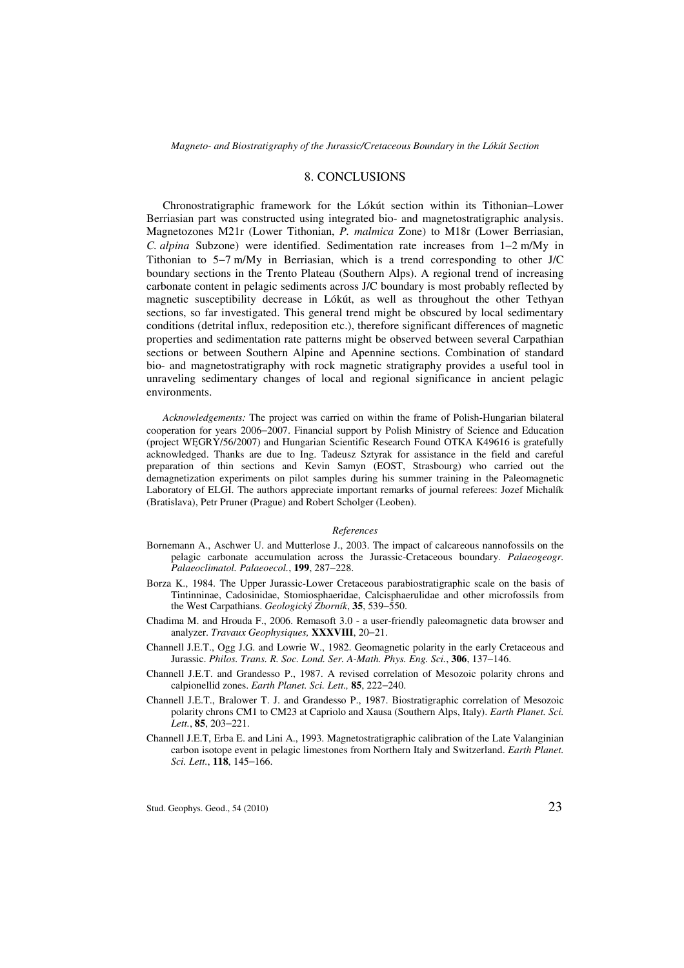## 8. CONCLUSIONS

Chronostratigraphic framework for the Lókút section within its Tithonian−Lower Berriasian part was constructed using integrated bio- and magnetostratigraphic analysis. Magnetozones M21r (Lower Tithonian, *P. malmica* Zone) to M18r (Lower Berriasian, *C. alpina* Subzone) were identified. Sedimentation rate increases from 1−2 m/My in Tithonian to 5−7 m/My in Berriasian, which is a trend corresponding to other J/C boundary sections in the Trento Plateau (Southern Alps). A regional trend of increasing carbonate content in pelagic sediments across J/C boundary is most probably reflected by magnetic susceptibility decrease in Lókút, as well as throughout the other Tethyan sections, so far investigated. This general trend might be obscured by local sedimentary conditions (detrital influx, redeposition etc.), therefore significant differences of magnetic properties and sedimentation rate patterns might be observed between several Carpathian sections or between Southern Alpine and Apennine sections. Combination of standard bio- and magnetostratigraphy with rock magnetic stratigraphy provides a useful tool in unraveling sedimentary changes of local and regional significance in ancient pelagic environments.

*Acknowledgements:* The project was carried on within the frame of Polish-Hungarian bilateral cooperation for years 2006−2007. Financial support by Polish Ministry of Science and Education (project WĘGRY/56/2007) and Hungarian Scientific Research Found OTKA K49616 is gratefully acknowledged. Thanks are due to Ing. Tadeusz Sztyrak for assistance in the field and careful preparation of thin sections and Kevin Samyn (EOST, Strasbourg) who carried out the demagnetization experiments on pilot samples during his summer training in the Paleomagnetic Laboratory of ELGI. The authors appreciate important remarks of journal referees: Jozef Michalík (Bratislava), Petr Pruner (Prague) and Robert Scholger (Leoben).

#### *References*

- Bornemann A., Aschwer U. and Mutterlose J., 2003. The impact of calcareous nannofossils on the pelagic carbonate accumulation across the Jurassic-Cretaceous boundary. *Palaeogeogr. Palaeoclimatol. Palaeoecol.*, **199**, 287−228.
- Borza K., 1984. The Upper Jurassic-Lower Cretaceous parabiostratigraphic scale on the basis of Tintinninae, Cadosinidae, Stomiosphaeridae, Calcisphaerulidae and other microfossils from the West Carpathians. *Geologický Zborník*, **35**, 539−550.
- Chadima M. and Hrouda F., 2006. Remasoft 3.0 a user-friendly paleomagnetic data browser and analyzer. *Travaux Geophysiques,* **XXXVIII**, 20−21.
- Channell J.E.T., Ogg J.G. and Lowrie W., 1982. Geomagnetic polarity in the early Cretaceous and Jurassic. *Philos. Trans. R. Soc. Lond. Ser. A-Math. Phys. Eng. Sci.*, **306**, 137−146.
- Channell J.E.T. and Grandesso P., 1987. A revised correlation of Mesozoic polarity chrons and calpionellid zones. *Earth Planet. Sci. Lett.,* **85**, 222−240.
- Channell J.E.T., Bralower T. J. and Grandesso P., 1987. Biostratigraphic correlation of Mesozoic polarity chrons CM1 to CM23 at Capriolo and Xausa (Southern Alps, Italy). *Earth Planet. Sci. Lett.*, **85**, 203−221.
- Channell J.E.T, Erba E. and Lini A., 1993. Magnetostratigraphic calibration of the Late Valanginian carbon isotope event in pelagic limestones from Northern Italy and Switzerland. *Earth Planet. Sci. Lett.*, **118**, 145−166.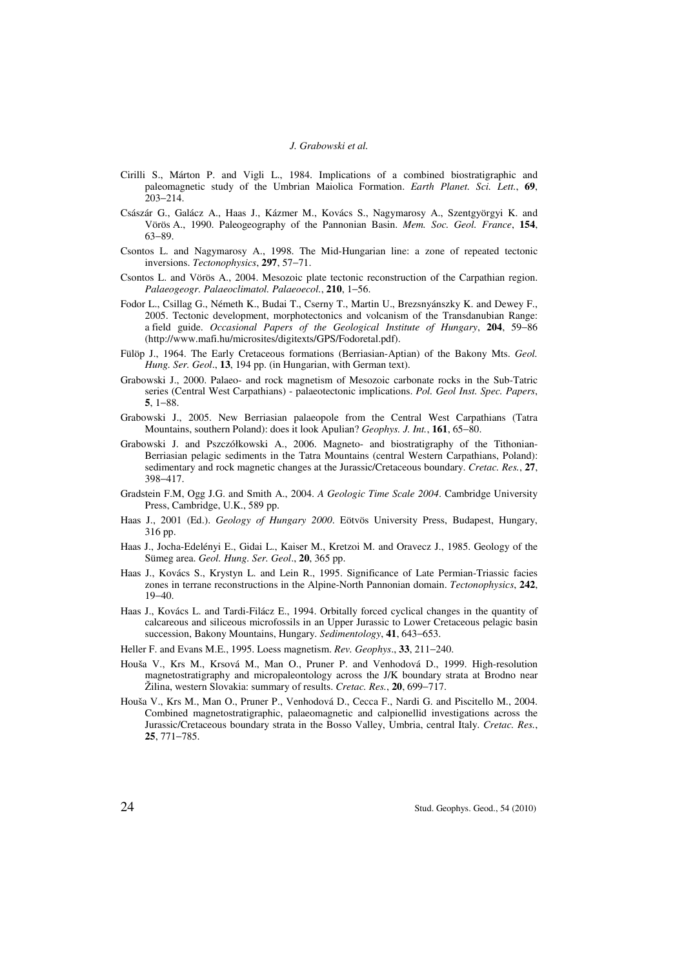- Cirilli S., Márton P. and Vigli L., 1984. Implications of a combined biostratigraphic and paleomagnetic study of the Umbrian Maiolica Formation. *Earth Planet. Sci. Lett.*, **69**,  $203 - 214$ .
- Császár G., Galácz A., Haas J., Kázmer M., Kovács S., Nagymarosy A., Szentgyörgyi K. and Vörös A., 1990. Paleogeography of the Pannonian Basin. *Mem. Soc. Geol. France*, **154**, 63−89.
- Csontos L. and Nagymarosy A., 1998. The Mid-Hungarian line: a zone of repeated tectonic inversions. *Tectonophysics*, **297**, 57−71.
- Csontos L. and Vörös A., 2004. Mesozoic plate tectonic reconstruction of the Carpathian region. *Palaeogeogr. Palaeoclimatol. Palaeoecol.*, **210**, 1−56.
- Fodor L., Csillag G., Németh K., Budai T., Cserny T., Martin U., Brezsnyánszky K. and Dewey F., 2005. Tectonic development, morphotectonics and volcanism of the Transdanubian Range: a field guide. *Occasional Papers of the Geological Institute of Hungary*, **204**, 59−86 (http://www.mafi.hu/microsites/digitexts/GPS/Fodoretal.pdf).
- Fülöp J., 1964. The Early Cretaceous formations (Berriasian-Aptian) of the Bakony Mts. *Geol. Hung. Ser. Geol*., **13**, 194 pp. (in Hungarian, with German text).
- Grabowski J., 2000. Palaeo- and rock magnetism of Mesozoic carbonate rocks in the Sub-Tatric series (Central West Carpathians) - palaeotectonic implications. *Pol. Geol Inst. Spec. Papers*, **5**, 1−88.
- Grabowski J., 2005. New Berriasian palaeopole from the Central West Carpathians (Tatra Mountains, southern Poland): does it look Apulian? *Geophys. J. Int.*, **161**, 65−80.
- Grabowski J. and Pszczółkowski A., 2006. Magneto- and biostratigraphy of the Tithonian-Berriasian pelagic sediments in the Tatra Mountains (central Western Carpathians, Poland): sedimentary and rock magnetic changes at the Jurassic/Cretaceous boundary. *Cretac. Res.*, **27**, 398−417.
- Gradstein F.M, Ogg J.G. and Smith A., 2004. *A Geologic Time Scale 2004*. Cambridge University Press, Cambridge, U.K., 589 pp.
- Haas J., 2001 (Ed.). *Geology of Hungary 2000*. Eötvös University Press, Budapest, Hungary, 316 pp.
- Haas J., Jocha-Edelényi E., Gidai L., Kaiser M., Kretzoi M. and Oravecz J., 1985. Geology of the Sümeg area. *Geol. Hung. Ser. Geol*., **20**, 365 pp.
- Haas J., Kovács S., Krystyn L. and Lein R., 1995. Significance of Late Permian-Triassic facies zones in terrane reconstructions in the Alpine-North Pannonian domain. *Tectonophysics*, **242**, 19−40.
- Haas J., Kovács L. and Tardi-Filácz E., 1994. Orbitally forced cyclical changes in the quantity of calcareous and siliceous microfossils in an Upper Jurassic to Lower Cretaceous pelagic basin succession, Bakony Mountains, Hungary. *Sedimentology*, **41**, 643−653.
- Heller F. and Evans M.E., 1995. Loess magnetism. *Rev. Geophys*., **33**, 211−240.
- Houša V., Krs M., Krsová M., Man O., Pruner P. and Venhodová D., 1999. High-resolution magnetostratigraphy and micropaleontology across the J/K boundary strata at Brodno near Žilina, western Slovakia: summary of results. *Cretac. Res.*, **20**, 699−717.
- Houša V., Krs M., Man O., Pruner P., Venhodová D., Cecca F., Nardi G. and Piscitello M., 2004. Combined magnetostratigraphic, palaeomagnetic and calpionellid investigations across the Jurassic/Cretaceous boundary strata in the Bosso Valley, Umbria, central Italy. *Cretac. Res.*, **25**, 771−785.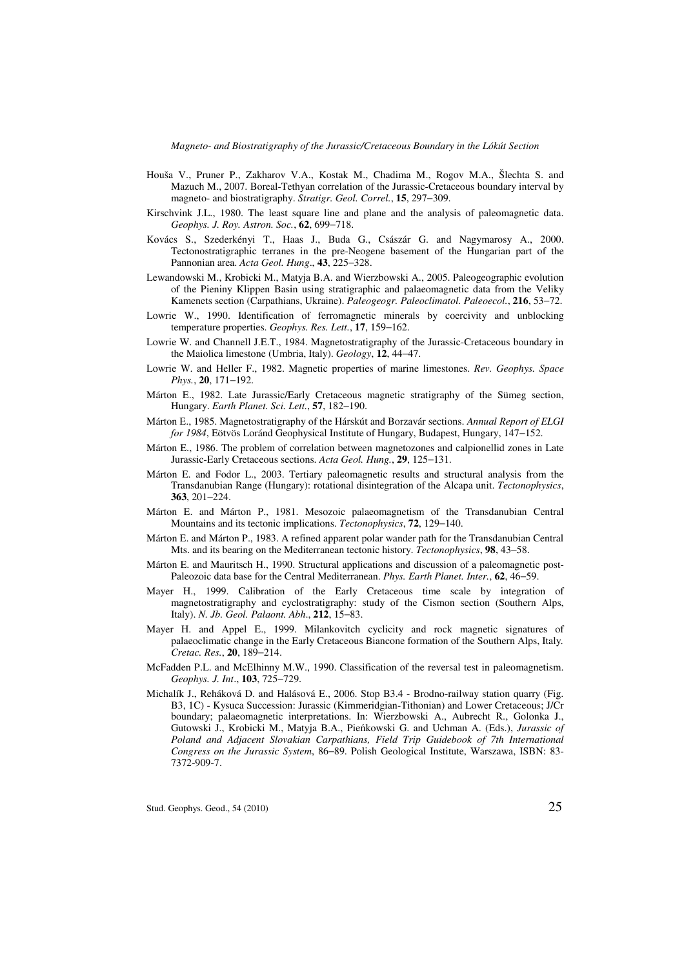*Magneto- and Biostratigraphy of the Jurassic/Cretaceous Boundary in the Lókút Section* 

- Houša V., Pruner P., Zakharov V.A., Kostak M., Chadima M., Rogov M.A., Šlechta S. and Mazuch M., 2007. Boreal-Tethyan correlation of the Jurassic-Cretaceous boundary interval by magneto- and biostratigraphy. *Stratigr. Geol. Correl.*, **15**, 297−309.
- Kirschvink J.L., 1980. The least square line and plane and the analysis of paleomagnetic data. *Geophys. J. Roy. Astron. Soc.*, **62**, 699−718.
- Kovács S., Szederkényi T., Haas J., Buda G., Császár G. and Nagymarosy A., 2000. Tectonostratigraphic terranes in the pre-Neogene basement of the Hungarian part of the Pannonian area. *Acta Geol. Hung*., **43**, 225−328.
- Lewandowski M., Krobicki M., Matyja B.A. and Wierzbowski A., 2005. Paleogeographic evolution of the Pieniny Klippen Basin using stratigraphic and palaeomagnetic data from the Veliky Kamenets section (Carpathians, Ukraine). *Paleogeogr. Paleoclimatol. Paleoecol.*, **216**, 53−72.
- Lowrie W., 1990. Identification of ferromagnetic minerals by coercivity and unblocking temperature properties. *Geophys. Res. Lett.*, **17**, 159−162.
- Lowrie W. and Channell J.E.T., 1984. Magnetostratigraphy of the Jurassic-Cretaceous boundary in the Maiolica limestone (Umbria, Italy). *Geology*, **12**, 44−47.
- Lowrie W. and Heller F., 1982. Magnetic properties of marine limestones. *Rev. Geophys. Space Phys.*, **20**, 171−192.
- Márton E., 1982. Late Jurassic/Early Cretaceous magnetic stratigraphy of the Sümeg section, Hungary. *Earth Planet. Sci. Lett.*, **57**, 182−190.
- Márton E., 1985. Magnetostratigraphy of the Hárskút and Borzavár sections. *Annual Report of ELGI for 1984*, Eötvös Loránd Geophysical Institute of Hungary, Budapest, Hungary, 147−152.
- Márton E., 1986. The problem of correlation between magnetozones and calpionellid zones in Late Jurassic-Early Cretaceous sections. *Acta Geol. Hung.*, **29**, 125−131.
- Márton E. and Fodor L., 2003. Tertiary paleomagnetic results and structural analysis from the Transdanubian Range (Hungary): rotational disintegration of the Alcapa unit. *Tectonophysics*, **363**, 201−224.
- Márton E. and Márton P., 1981. Mesozoic palaeomagnetism of the Transdanubian Central Mountains and its tectonic implications. *Tectonophysics*, **72**, 129−140.
- Márton E. and Márton P., 1983. A refined apparent polar wander path for the Transdanubian Central Mts. and its bearing on the Mediterranean tectonic history. *Tectonophysics*, **98**, 43−58.
- Márton E. and Mauritsch H., 1990. Structural applications and discussion of a paleomagnetic post-Paleozoic data base for the Central Mediterranean. *Phys. Earth Planet. Inter.*, **62**, 46−59.
- Mayer H., 1999. Calibration of the Early Cretaceous time scale by integration of magnetostratigraphy and cyclostratigraphy: study of the Cismon section (Southern Alps, Italy). *N. Jb. Geol. Palaont. Abh*., **212**, 15−83.
- Mayer H. and Appel E., 1999. Milankovitch cyclicity and rock magnetic signatures of palaeoclimatic change in the Early Cretaceous Biancone formation of the Southern Alps, Italy*. Cretac. Res.*, **20**, 189−214.
- McFadden P.L. and McElhinny M.W., 1990. Classification of the reversal test in paleomagnetism. *Geophys. J. Int*., **103**, 725−729.
- Michalík J., Reháková D. and Halásová E., 2006. Stop B3.4 Brodno-railway station quarry (Fig. B3, 1C) - Kysuca Succession: Jurassic (Kimmeridgian-Tithonian) and Lower Cretaceous; J/Cr boundary; palaeomagnetic interpretations. In: Wierzbowski A., Aubrecht R., Golonka J., Gutowski J., Krobicki M., Matyja B.A., Pieńkowski G. and Uchman A. (Eds.), *Jurassic of Poland and Adjacent Slovakian Carpathians, Field Trip Guidebook of 7th International Congress on the Jurassic System*, 86−89. Polish Geological Institute, Warszawa, ISBN: 83- 7372-909-7.